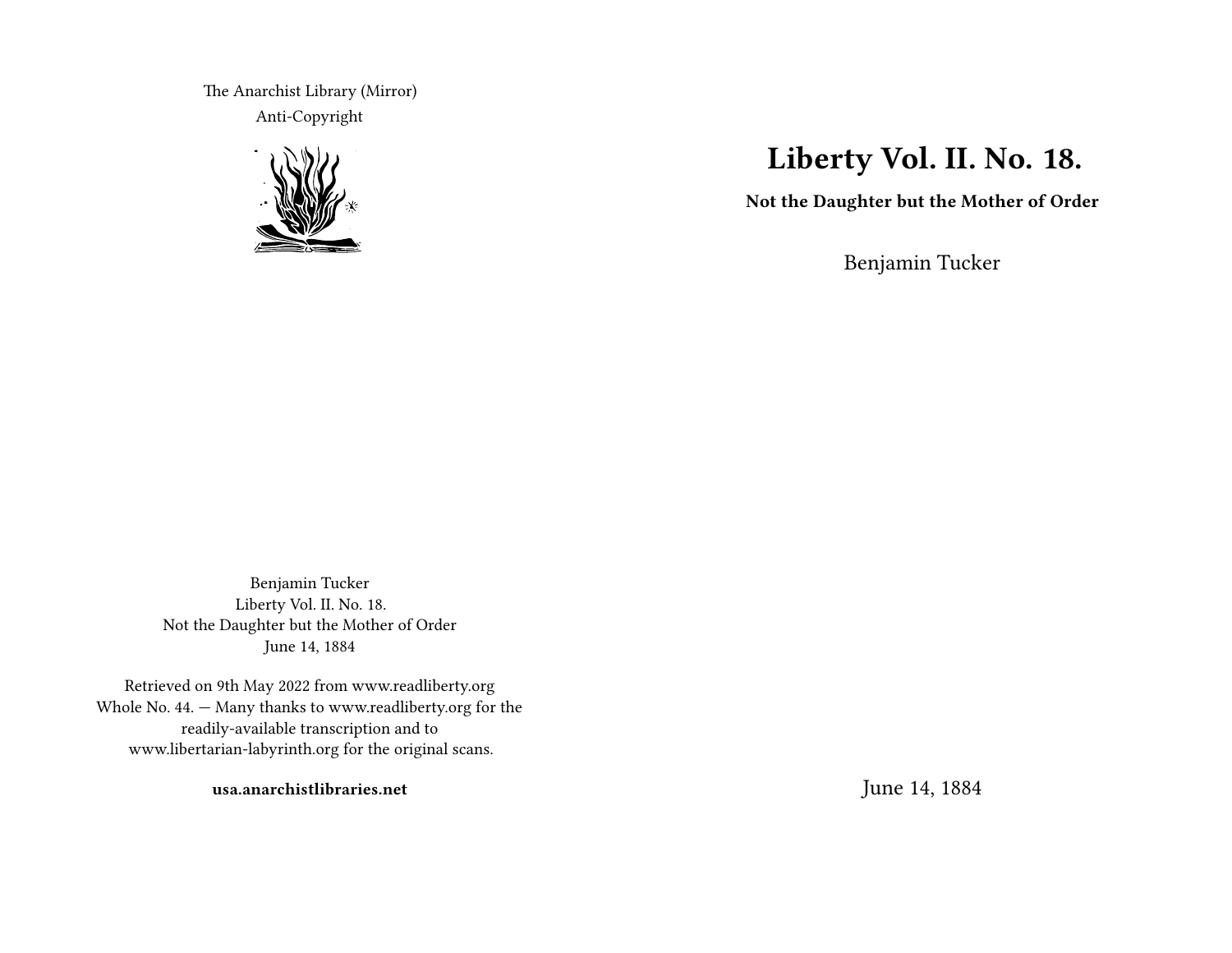The Anarchist Library (Mirror) Anti-Copyright



# **Liberty Vol. II. No. 18.**

**Not the Daughter but the Mother of Order**

Benjamin Tucker

Benjamin Tucker Liberty Vol. II. No. 18. Not the Daughter but the Mother of Order June 14, 1884

Retrieved on 9th May 2022 from www.readliberty.org Whole No. 44. — Many thanks to www.readliberty.org for the readily-available transcription and to www.libertarian-labyrinth.org for the original scans.

**usa.anarchistlibraries.net**

June 14, 1884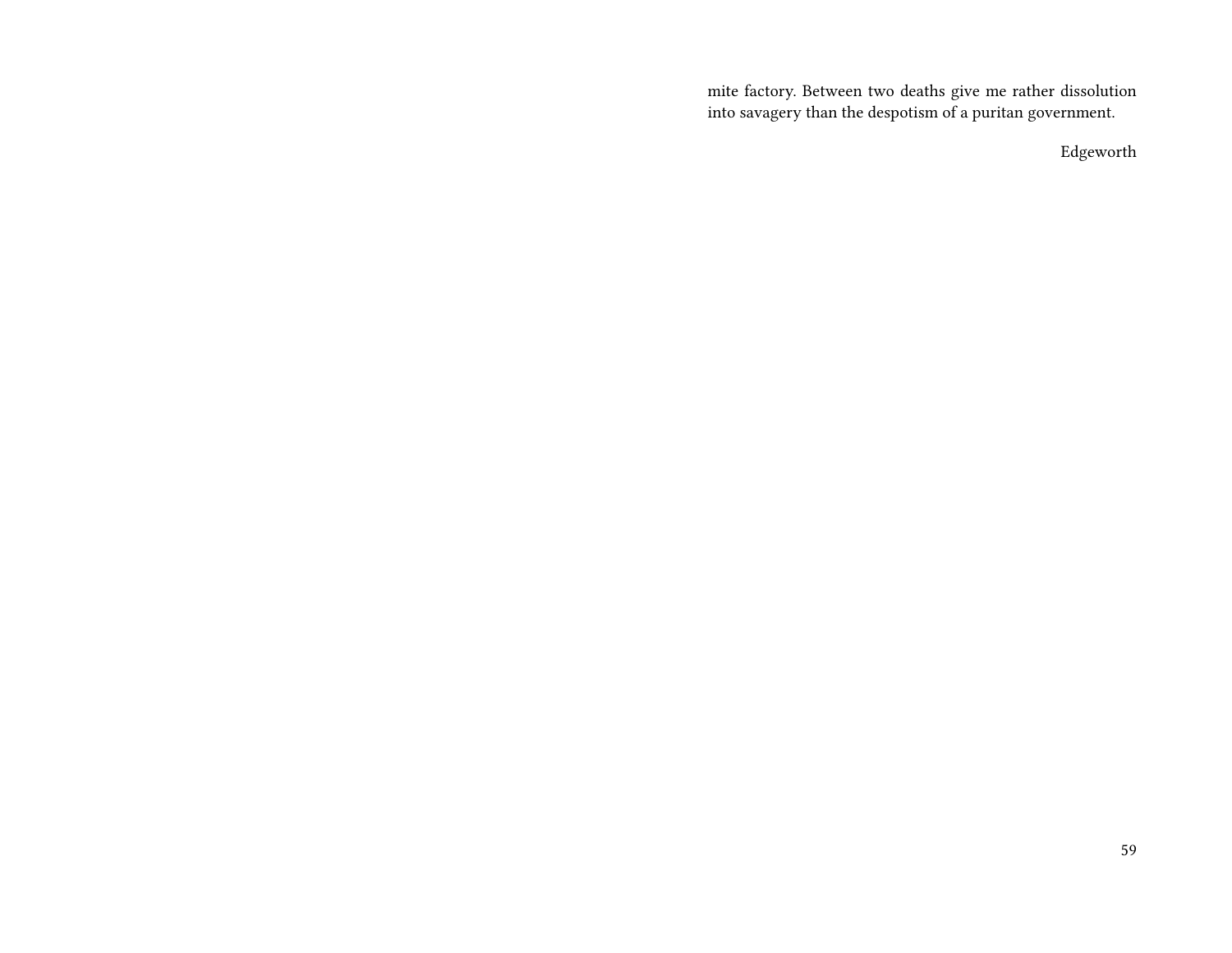mite factory. Between two deaths give me rather dissolution into savagery than the despotism of a puritan government.

Edgeworth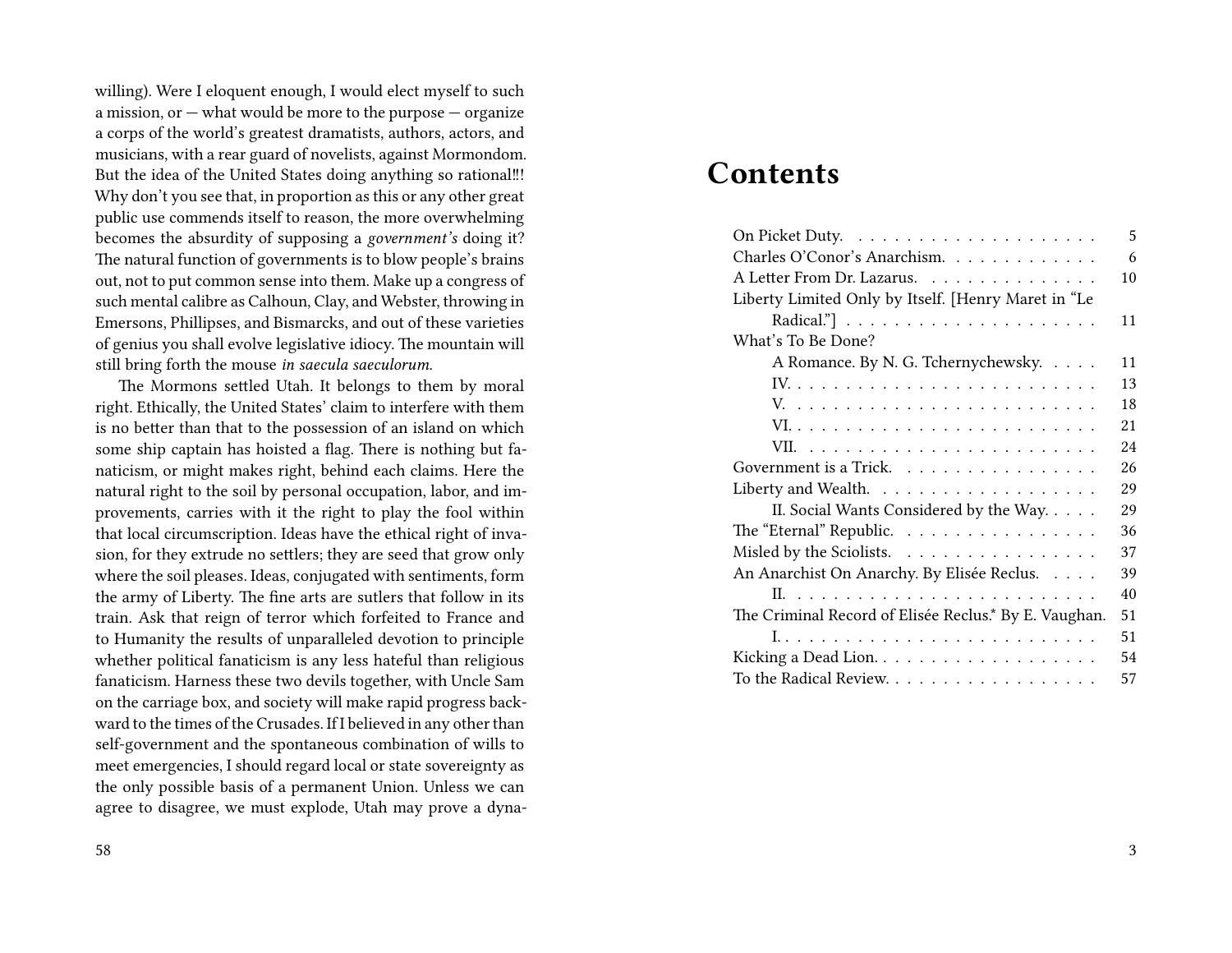willing). Were I eloquent enough, I would elect myself to such a mission, or  $-$  what would be more to the purpose  $-$  organize a corps of the world's greatest dramatists, authors, actors, and musicians, with a rear guard of novelists, against Mormondom. But the idea of the United States doing anything so rational‼! Why don't you see that, in proportion as this or any other great public use commends itself to reason, the more overwhelming becomes the absurdity of supposing a *government's* doing it? The natural function of governments is to blow people's brains out, not to put common sense into them. Make up a congress of such mental calibre as Calhoun, Clay, and Webster, throwing in Emersons, Phillipses, and Bismarcks, and out of these varieties of genius you shall evolve legislative idiocy. The mountain will still bring forth the mouse *in saecula saeculorum.*

The Mormons settled Utah. It belongs to them by moral right. Ethically, the United States' claim to interfere with them is no better than that to the possession of an island on which some ship captain has hoisted a flag. There is nothing but fanaticism, or might makes right, behind each claims. Here the natural right to the soil by personal occupation, labor, and improvements, carries with it the right to play the fool within that local circumscription. Ideas have the ethical right of invasion, for they extrude no settlers; they are seed that grow only where the soil pleases. Ideas, conjugated with sentiments, form the army of Liberty. The fine arts are sutlers that follow in its train. Ask that reign of terror which forfeited to France and to Humanity the results of unparalleled devotion to principle whether political fanaticism is any less hateful than religious fanaticism. Harness these two devils together, with Uncle Sam on the carriage box, and society will make rapid progress backward to the times of the Crusades. If I believed in any other than self-government and the spontaneous combination of wills to meet emergencies, I should regard local or state sovereignty as the only possible basis of a permanent Union. Unless we can agree to disagree, we must explode, Utah may prove a dyna-

#### 58

## **Contents**

|                                                       | 5  |
|-------------------------------------------------------|----|
| Charles O'Conor's Anarchism.                          | 6  |
| A Letter From Dr. Lazarus.                            | 10 |
| Liberty Limited Only by Itself. [Henry Maret in "Le   |    |
|                                                       | 11 |
| What's To Be Done?                                    |    |
| A Romance. By N. G. Tchernychewsky.                   | 11 |
|                                                       | 13 |
|                                                       | 18 |
|                                                       | 21 |
|                                                       | 24 |
| Government is a Trick.                                | 26 |
| Liberty and Wealth.                                   | 29 |
| II. Social Wants Considered by the Way                | 29 |
| The "Eternal" Republic.                               | 36 |
| Misled by the Sciolists.                              | 37 |
| An Anarchist On Anarchy. By Elisée Reclus.            | 39 |
|                                                       | 40 |
| The Criminal Record of Elisée Reclus.* By E. Vaughan. | 51 |
|                                                       | 51 |
|                                                       | 54 |
| To the Radical Review.                                | 57 |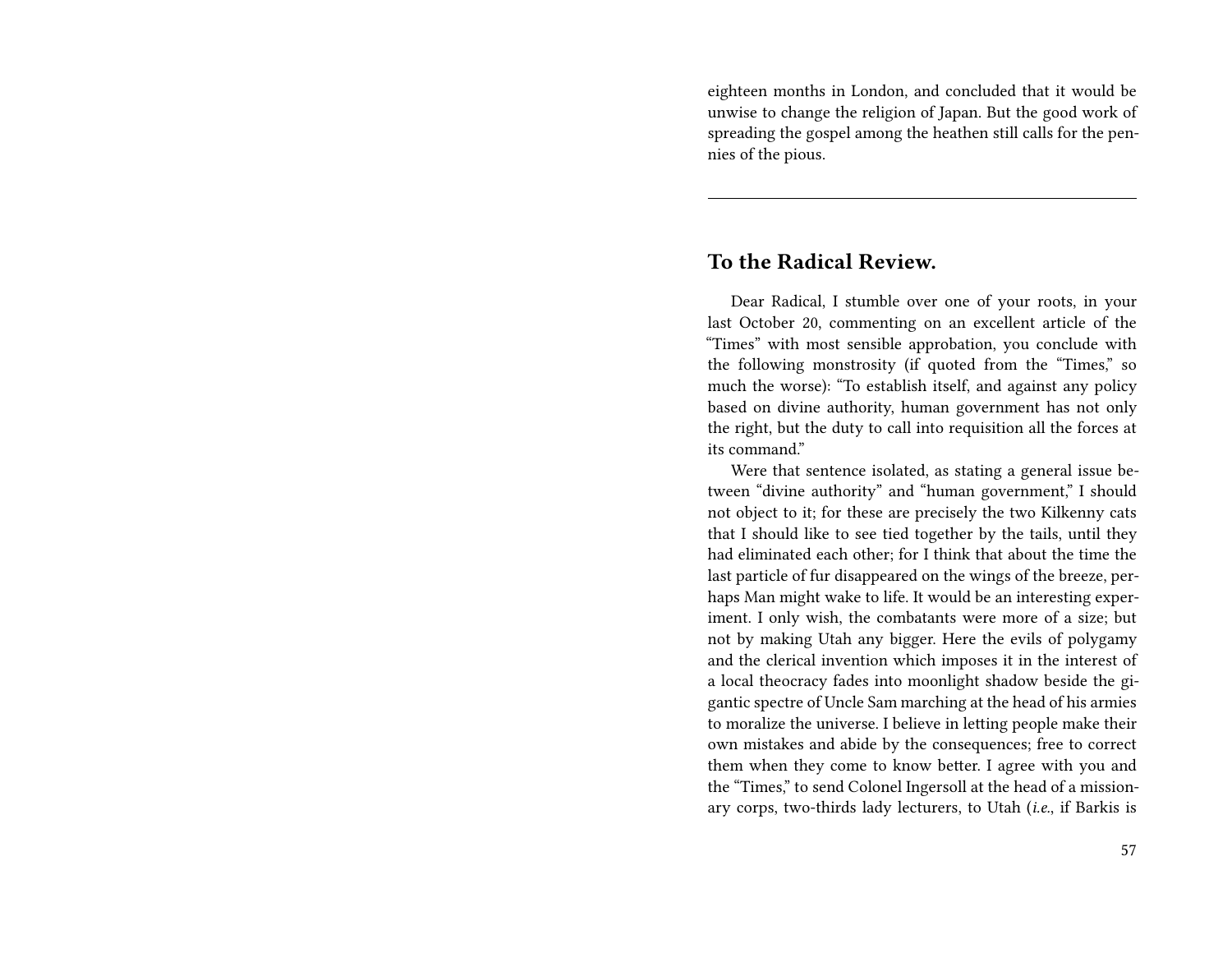eighteen months in London, and concluded that it would be unwise to change the religion of Japan. But the good work of spreading the gospel among the heathen still calls for the pennies of the pious.

## **To the Radical Review.**

Dear Radical, I stumble over one of your roots, in your last October 20, commenting on an excellent article of the "Times" with most sensible approbation, you conclude with the following monstrosity (if quoted from the "Times," so much the worse): "To establish itself, and against any policy based on divine authority, human government has not only the right, but the duty to call into requisition all the forces at its command."

Were that sentence isolated, as stating a general issue between "divine authority" and "human government," I should not object to it; for these are precisely the two Kilkenny cats that I should like to see tied together by the tails, until they had eliminated each other; for I think that about the time the last particle of fur disappeared on the wings of the breeze, perhaps Man might wake to life. It would be an interesting experiment. I only wish, the combatants were more of a size; but not by making Utah any bigger. Here the evils of polygamy and the clerical invention which imposes it in the interest of a local theocracy fades into moonlight shadow beside the gigantic spectre of Uncle Sam marching at the head of his armies to moralize the universe. I believe in letting people make their own mistakes and abide by the consequences; free to correct them when they come to know better. I agree with you and the "Times," to send Colonel Ingersoll at the head of a missionary corps, two-thirds lady lecturers, to Utah (*i.e.*, if Barkis is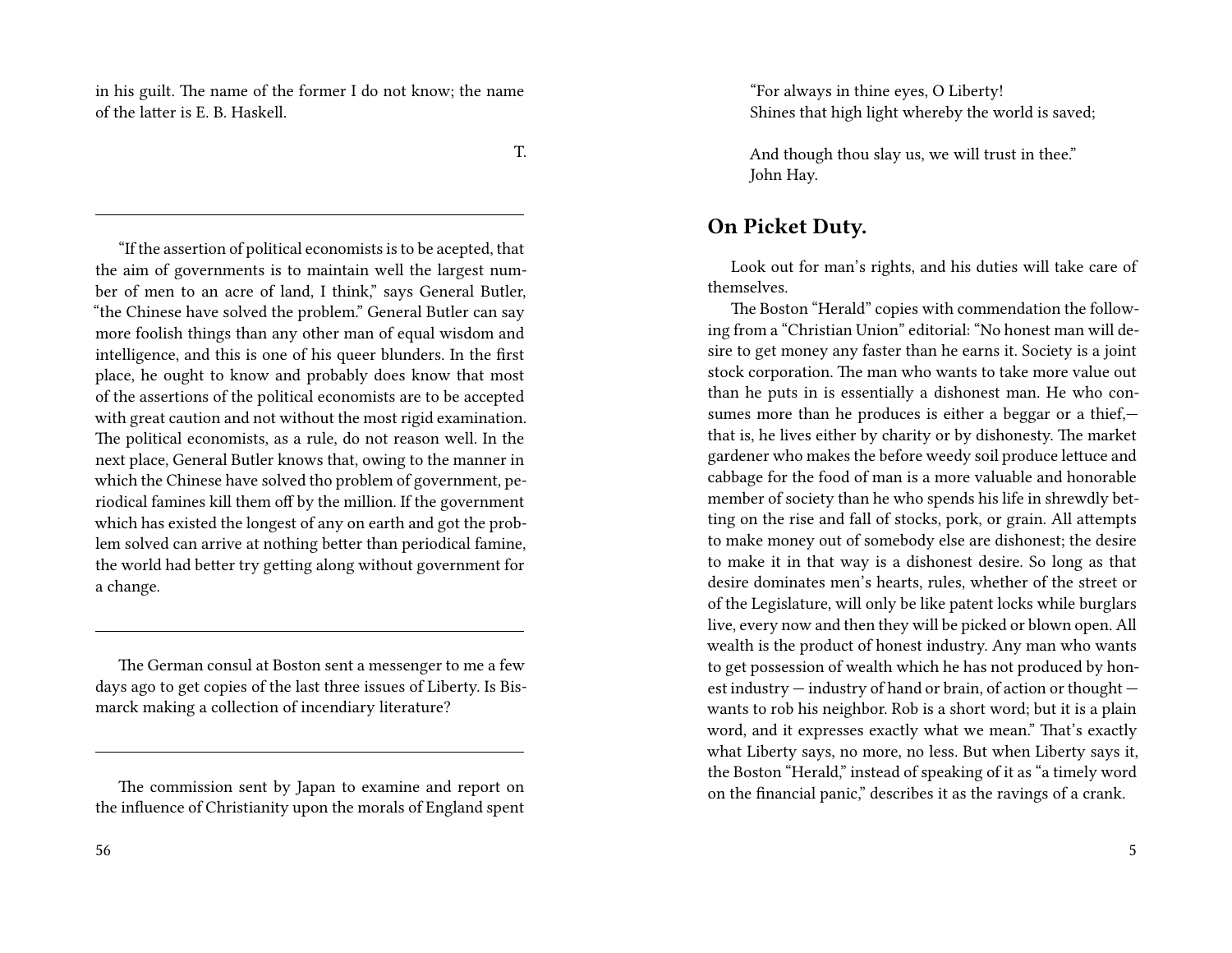in his guilt. The name of the former I do not know; the name of the latter is E. B. Haskell.

T.

"If the assertion of political economists is to be acepted, that the aim of governments is to maintain well the largest number of men to an acre of land, I think," says General Butler, "the Chinese have solved the problem." General Butler can say more foolish things than any other man of equal wisdom and intelligence, and this is one of his queer blunders. In the first place, he ought to know and probably does know that most of the assertions of the political economists are to be accepted with great caution and not without the most rigid examination. The political economists, as a rule, do not reason well. In the next place, General Butler knows that, owing to the manner in which the Chinese have solved tho problem of government, periodical famines kill them off by the million. If the government which has existed the longest of any on earth and got the problem solved can arrive at nothing better than periodical famine, the world had better try getting along without government for a change.

The German consul at Boston sent a messenger to me a few days ago to get copies of the last three issues of Liberty. Is Bismarck making a collection of incendiary literature?

The commission sent by Japan to examine and report on the influence of Christianity upon the morals of England spent

"For always in thine eyes, O Liberty! Shines that high light whereby the world is saved;

And though thou slay us, we will trust in thee." John Hay.

### **On Picket Duty.**

Look out for man's rights, and his duties will take care of themselves.

The Boston "Herald" copies with commendation the following from a "Christian Union" editorial: "No honest man will desire to get money any faster than he earns it. Society is a joint stock corporation. The man who wants to take more value out than he puts in is essentially a dishonest man. He who consumes more than he produces is either a beggar or a thief, that is, he lives either by charity or by dishonesty. The market gardener who makes the before weedy soil produce lettuce and cabbage for the food of man is a more valuable and honorable member of society than he who spends his life in shrewdly betting on the rise and fall of stocks, pork, or grain. All attempts to make money out of somebody else are dishonest; the desire to make it in that way is a dishonest desire. So long as that desire dominates men's hearts, rules, whether of the street or of the Legislature, will only be like patent locks while burglars live, every now and then they will be picked or blown open. All wealth is the product of honest industry. Any man who wants to get possession of wealth which he has not produced by honest industry — industry of hand or brain, of action or thought wants to rob his neighbor. Rob is a short word; but it is a plain word, and it expresses exactly what we mean." That's exactly what Liberty says, no more, no less. But when Liberty says it, the Boston "Herald," instead of speaking of it as "a timely word on the financial panic," describes it as the ravings of a crank.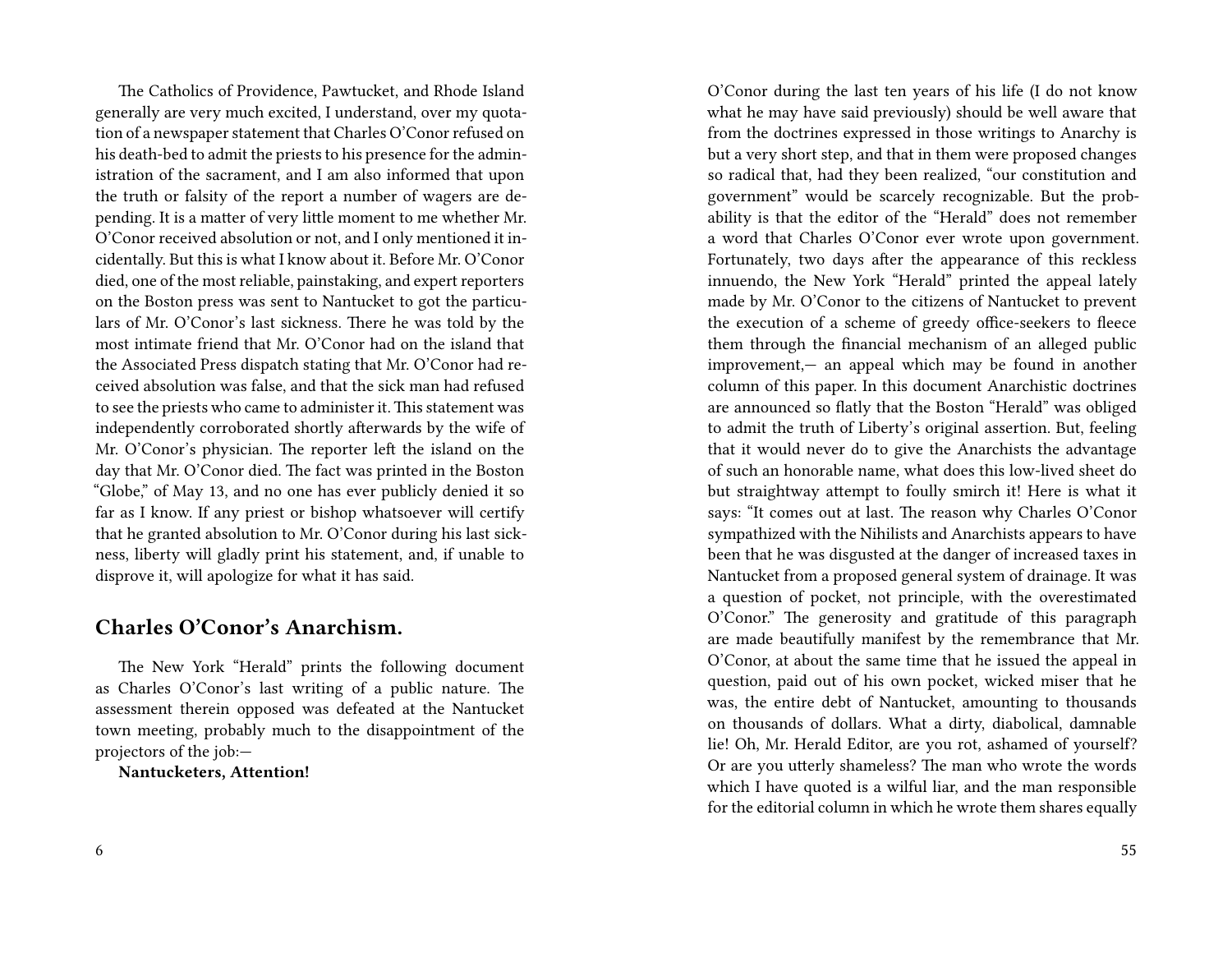The Catholics of Providence, Pawtucket, and Rhode Island generally are very much excited, I understand, over my quotation of a newspaper statement that Charles O'Conor refused on his death-bed to admit the priests to his presence for the administration of the sacrament, and I am also informed that upon the truth or falsity of the report a number of wagers are depending. It is a matter of very little moment to me whether Mr. O'Conor received absolution or not, and I only mentioned it incidentally. But this is what I know about it. Before Mr. O'Conor died, one of the most reliable, painstaking, and expert reporters on the Boston press was sent to Nantucket to got the particulars of Mr. O'Conor's last sickness. There he was told by the most intimate friend that Mr. O'Conor had on the island that the Associated Press dispatch stating that Mr. O'Conor had received absolution was false, and that the sick man had refused to see the priests who came to administer it. This statement was independently corroborated shortly afterwards by the wife of Mr. O'Conor's physician. The reporter left the island on the day that Mr. O'Conor died. The fact was printed in the Boston "Globe," of May 13, and no one has ever publicly denied it so far as I know. If any priest or bishop whatsoever will certify that he granted absolution to Mr. O'Conor during his last sickness, liberty will gladly print his statement, and, if unable to disprove it, will apologize for what it has said.

### **Charles O'Conor's Anarchism.**

The New York "Herald" prints the following document as Charles O'Conor's last writing of a public nature. The assessment therein opposed was defeated at the Nantucket town meeting, probably much to the disappointment of the projectors of the job:—

**Nantucketers, Attention!**

O'Conor during the last ten years of his life (I do not know what he may have said previously) should be well aware that from the doctrines expressed in those writings to Anarchy is but a very short step, and that in them were proposed changes so radical that, had they been realized, "our constitution and government" would be scarcely recognizable. But the probability is that the editor of the "Herald" does not remember a word that Charles O'Conor ever wrote upon government. Fortunately, two days after the appearance of this reckless innuendo, the New York "Herald" printed the appeal lately made by Mr. O'Conor to the citizens of Nantucket to prevent the execution of a scheme of greedy office-seekers to fleece them through the financial mechanism of an alleged public improvement,— an appeal which may be found in another column of this paper. In this document Anarchistic doctrines are announced so flatly that the Boston "Herald" was obliged to admit the truth of Liberty's original assertion. But, feeling that it would never do to give the Anarchists the advantage of such an honorable name, what does this low-lived sheet do but straightway attempt to foully smirch it! Here is what it says: "It comes out at last. The reason why Charles O'Conor sympathized with the Nihilists and Anarchists appears to have been that he was disgusted at the danger of increased taxes in Nantucket from a proposed general system of drainage. It was a question of pocket, not principle, with the overestimated O'Conor." The generosity and gratitude of this paragraph are made beautifully manifest by the remembrance that Mr. O'Conor, at about the same time that he issued the appeal in question, paid out of his own pocket, wicked miser that he was, the entire debt of Nantucket, amounting to thousands on thousands of dollars. What a dirty, diabolical, damnable lie! Oh, Mr. Herald Editor, are you rot, ashamed of yourself? Or are you utterly shameless? The man who wrote the words which I have quoted is a wilful liar, and the man responsible for the editorial column in which he wrote them shares equally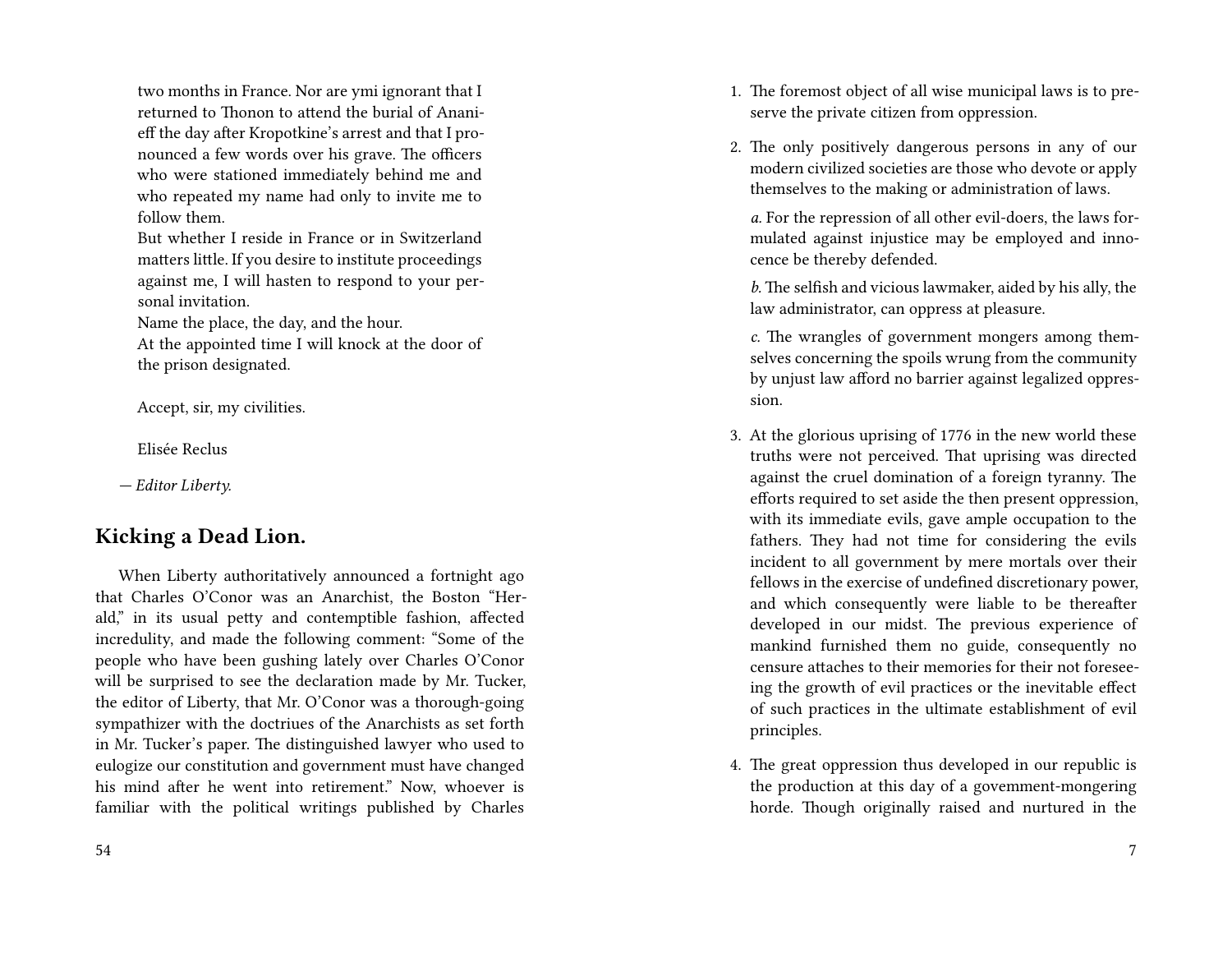two months in France. Nor are ymi ignorant that I returned to Thonon to attend the burial of Ananieff the day after Kropotkine's arrest and that I pronounced a few words over his grave. The officers who were stationed immediately behind me and who repeated my name had only to invite me to follow them.

But whether I reside in France or in Switzerland matters little. If you desire to institute proceedings against me, I will hasten to respond to your personal invitation.

Name the place, the day, and the hour.

At the appointed time I will knock at the door of the prison designated.

Accept, sir, my civilities.

Elisée Reclus

*— Editor Liberty.*

## **Kicking a Dead Lion.**

When Liberty authoritatively announced a fortnight ago that Charles O'Conor was an Anarchist, the Boston "Herald," in its usual petty and contemptible fashion, affected incredulity, and made the following comment: "Some of the people who have been gushing lately over Charles O'Conor will be surprised to see the declaration made by Mr. Tucker, the editor of Liberty, that Mr. O'Conor was a thorough-going sympathizer with the doctriues of the Anarchists as set forth in Mr. Tucker's paper. The distinguished lawyer who used to eulogize our constitution and government must have changed his mind after he went into retirement." Now, whoever is familiar with the political writings published by Charles

- 1. The foremost object of all wise municipal laws is to preserve the private citizen from oppression.
- 2. The only positively dangerous persons in any of our modern civilized societies are those who devote or apply themselves to the making or administration of laws.

*a.* For the repression of all other evil-doers, the laws formulated against injustice may be employed and innocence be thereby defended.

*b.* The selfish and vicious lawmaker, aided by his ally, the law administrator, can oppress at pleasure.

*c.* The wrangles of government mongers among themselves concerning the spoils wrung from the community by unjust law afford no barrier against legalized oppression.

- 3. At the glorious uprising of 1776 in the new world these truths were not perceived. That uprising was directed against the cruel domination of a foreign tyranny. The efforts required to set aside the then present oppression, with its immediate evils, gave ample occupation to the fathers. They had not time for considering the evils incident to all government by mere mortals over their fellows in the exercise of undefined discretionary power, and which consequently were liable to be thereafter developed in our midst. The previous experience of mankind furnished them no guide, consequently no censure attaches to their memories for their not foreseeing the growth of evil practices or the inevitable effect of such practices in the ultimate establishment of evil principles.
- 4. The great oppression thus developed in our republic is the production at this day of a govemment-mongering horde. Though originally raised and nurtured in the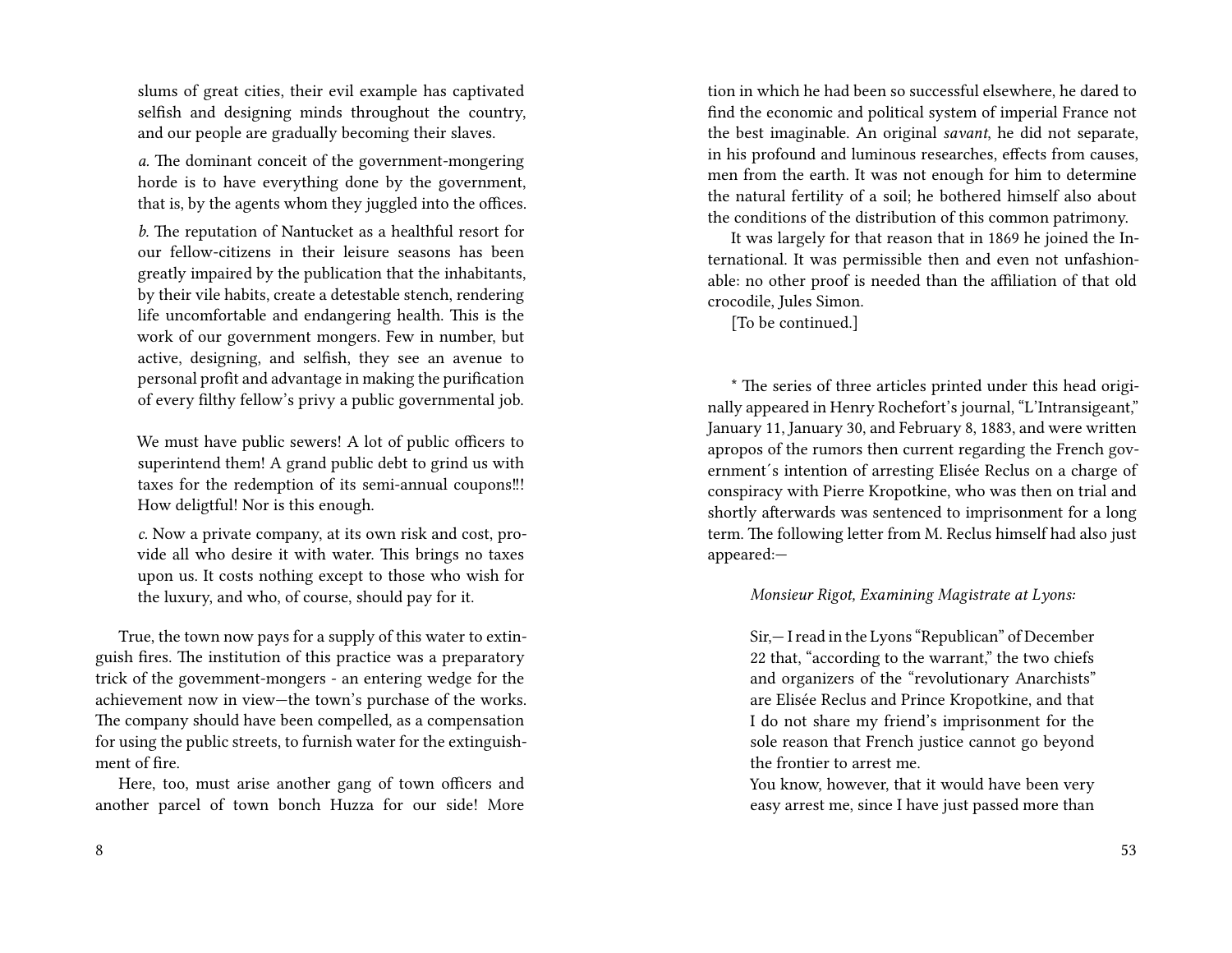slums of great cities, their evil example has captivated selfish and designing minds throughout the country, and our people are gradually becoming their slaves.

*а.* The dominant conceit of the government-mongering horde is to have everything done by the government, that is, by the agents whom they juggled into the offices.

*b.* The reputation of Nantucket as a healthful resort for our fellow-citizens in their leisure seasons has been greatly impaired by the publication that the inhabitants, by their vile habits, create a detestable stench, rendering life uncomfortable and endangering health. This is the work of our government mongers. Few in number, but active, designing, and selfish, they see an avenue to personal profit and advantage in making the purification of every filthy fellow's privy a public governmental job.

We must have public sewers! A lot of public officers to superintend them! A grand public debt to grind us with taxes for the redemption of its semi-annual coupons‼! How deligtful! Nor is this enough.

*c.* Now a private company, at its own risk and cost, provide all who desire it with water. This brings no taxes upon us. It costs nothing except to those who wish for the luxury, and who, of course, should pay for it.

True, the town now pays for a supply of this water to extinguish fires. The institution of this practice was a preparatory trick of the govemment-mongers - an entering wedge for the achievement now in view—the town's purchase of the works. The company should have been compelled, as a compensation for using the public streets, to furnish water for the extinguishment of fire.

Here, too, must arise another gang of town officers and another parcel of town bonch Huzza for our side! More tion in which he had been so successful elsewhere, he dared to find the economic and political system of imperial France not the best imaginable. An original *savant*, he did not separate, in his profound and luminous researches, effects from causes, men from the earth. It was not enough for him to determine the natural fertility of a soil; he bothered himself also about the conditions of the distribution of this common patrimony.

It was largely for that reason that in 1869 he joined the International. It was permissible then and even not unfashionable: no other proof is needed than the affiliation of that old crocodile, Jules Simon.

[To be continued.]

\* The series of three articles printed under this head originally appeared in Henry Rochefort's journal, "L'Intransigeant," January 11, January 30, and February 8, 1883, and were written apropos of the rumors then current regarding the French government´s intention of arresting Elisée Reclus on a charge of conspiracy with Pierre Kropotkine, who was then on trial and shortly afterwards was sentenced to imprisonment for a long term. The following letter from M. Reclus himself had also just appeared:—

*Monsieur Rigot, Examining Magistrate at Lyons:*

Sir,— I read in the Lyons "Republican" of December 22 that, "according to the warrant," the two chiefs and organizers of the "revolutionary Anarchists" are Elisée Reclus and Prince Kropotkine, and that I do not share my friend's imprisonment for the sole reason that French justice cannot go beyond the frontier to arrest me.

You know, however, that it would have been very easy arrest me, since I have just passed more than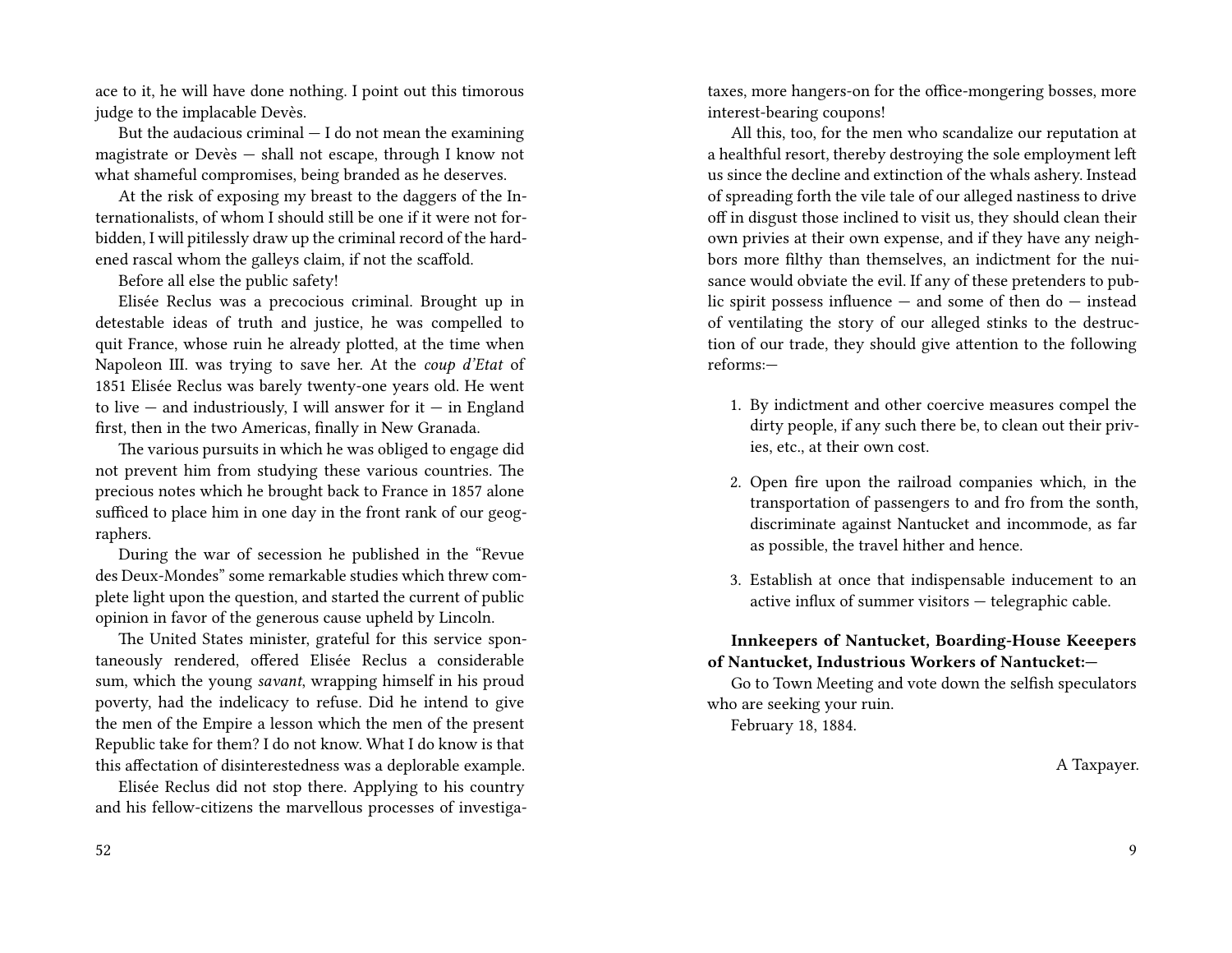ace to it, he will have done nothing. I point out this timorous judge to the implacable Devès.

But the audacious criminal  $-$  I do not mean the examining magistrate or Devès — shall not escape, through I know not what shameful compromises, being branded as he deserves.

At the risk of exposing my breast to the daggers of the Internationalists, of whom I should still be one if it were not forbidden, I will pitilessly draw up the criminal record of the hardened rascal whom the galleys claim, if not the scaffold.

Before all else the public safety!

Elisée Reclus was a precocious criminal. Brought up in detestable ideas of truth and justice, he was compelled to quit France, whose ruin he already plotted, at the time when Napoleon III. was trying to save her. At the *coup d'Etat* of 1851 Elisée Reclus was barely twenty-one years old. He went to live  $-$  and industriously, I will answer for it  $-$  in England first, then in the two Americas, finally in New Granada.

The various pursuits in which he was obliged to engage did not prevent him from studying these various countries. The precious notes which he brought back to France in 1857 alone sufficed to place him in one day in the front rank of our geographers.

During the war of secession he published in the "Revue des Deux-Mondes" some remarkable studies which threw complete light upon the question, and started the current of public opinion in favor of the generous cause upheld by Lincoln.

The United States minister, grateful for this service spontaneously rendered, offered Elisée Reclus a considerable sum, which the young *savant*, wrapping himself in his proud poverty, had the indelicacy to refuse. Did he intend to give the men of the Empire a lesson which the men of the present Republic take for them? I do not know. What I do know is that this affectation of disinterestedness was a deplorable example.

Elisée Reclus did not stop there. Applying to his country and his fellow-citizens the marvellous processes of investigataxes, more hangers-on for the office-mongering bosses, more interest-bearing coupons!

All this, too, for the men who scandalize our reputation at a healthful resort, thereby destroying the sole employment left us since the decline and extinction of the whals ashery. Instead of spreading forth the vile tale of our alleged nastiness to drive off in disgust those inclined to visit us, they should clean their own privies at their own expense, and if they have any neighbors more filthy than themselves, an indictment for the nuisance would obviate the evil. If any of these pretenders to public spirit possess influence — and some of then do — instead of ventilating the story of our alleged stinks to the destruction of our trade, they should give attention to the following reforms:—

- 1. By indictment and other coercive measures compel the dirty people, if any such there be, to clean out their privies, etc., at their own cost.
- 2. Open fire upon the railroad companies which, in the transportation of passengers to and fro from the sonth, discriminate against Nantucket and incommode, as far as possible, the travel hither and hence.
- 3. Establish at once that indispensable inducement to an active influx of summer visitors — telegraphic cable.

**Innkeepers of Nantucket, Boarding-House Keeepers of Nantucket, Industrious Workers of Nantucket:—**

Go to Town Meeting and vote down the selfish speculators who are seeking your ruin.

February 18, 1884.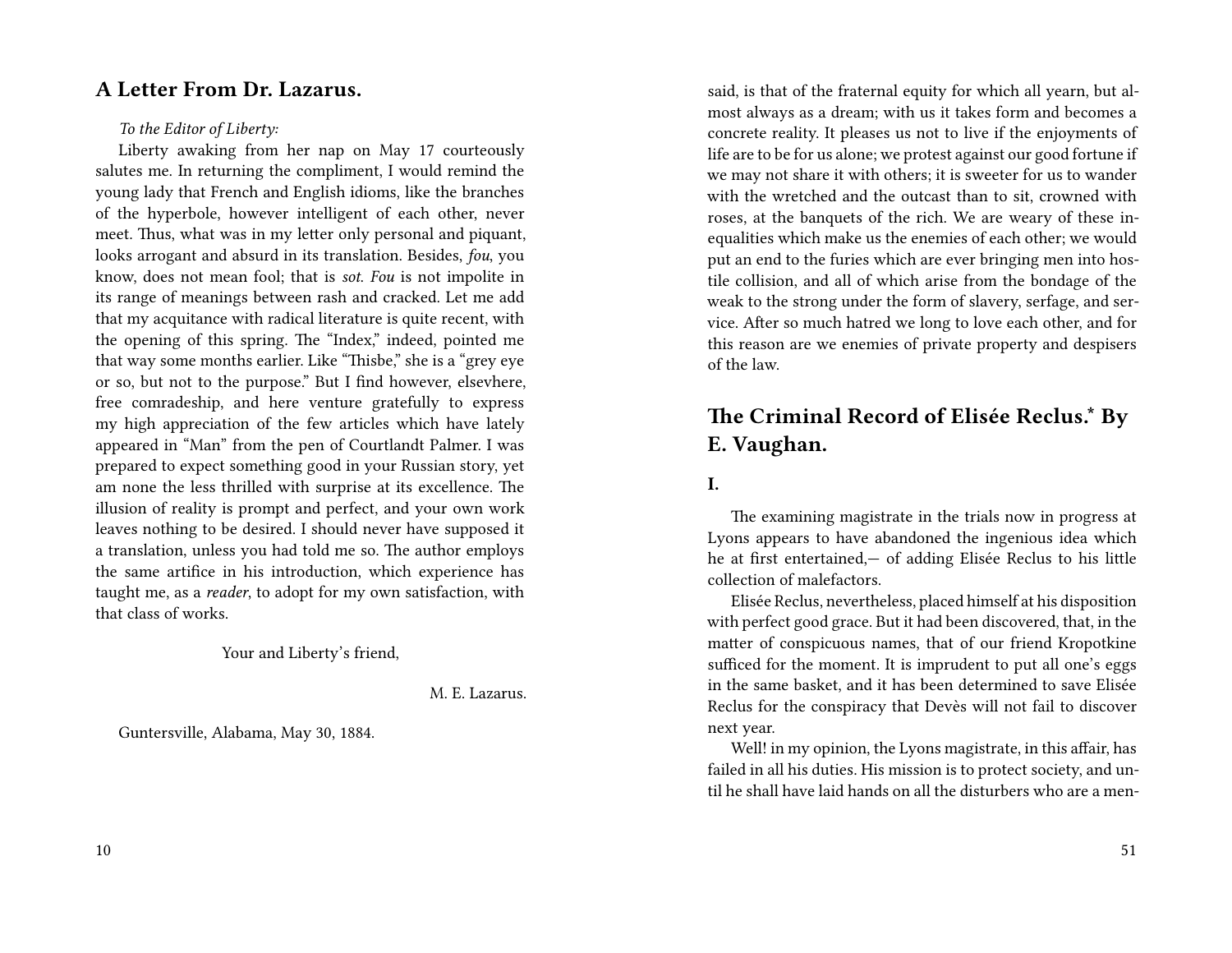## **A Letter From Dr. Lazarus.**

#### *To the Editor of Liberty:*

Liberty awaking from her nap on May 17 courteously salutes me. In returning the compliment, I would remind the young lady that French and English idioms, like the branches of the hyperbole, however intelligent of each other, never meet. Thus, what was in my letter only personal and piquant, looks arrogant and absurd in its translation. Besides, *fou*, you know, does not mean fool; that is *sot*. *Fou* is not impolite in its range of meanings between rash and cracked. Let me add that my acquitance with radical literature is quite recent, with the opening of this spring. The "Index," indeed, pointed me that way some months earlier. Like "Thisbe," she is a "grey eye or so, but not to the purpose." But I find however, elsevhere, free comradeship, and here venture gratefully to express my high appreciation of the few articles which have lately appeared in "Man" from the pen of Courtlandt Palmer. I was prepared to expect something good in your Russian story, yet am none the less thrilled with surprise at its excellence. The illusion of reality is prompt and perfect, and your own work leaves nothing to be desired. I should never have supposed it a translation, unless you had told me so. The author employs the same artifice in his introduction, which experience has taught me, as a *reader*, to adopt for my own satisfaction, with that class of works.

Your and Liberty's friend,

M. E. Lazarus.

Guntersville, Alabama, May 30, 1884.

said, is that of the fraternal equity for which all yearn, but almost always as a dream; with us it takes form and becomes a concrete reality. It pleases us not to live if the enjoyments of life are to be for us alone; we protest against our good fortune if we may not share it with others; it is sweeter for us to wander with the wretched and the outcast than to sit, crowned with roses, at the banquets of the rich. We are weary of these inequalities which make us the enemies of each other; we would put an end to the furies which are ever bringing men into hostile collision, and all of which arise from the bondage of the weak to the strong under the form of slavery, serfage, and service. After so much hatred we long to love each other, and for this reason are we enemies of private property and despisers of the law.

## **The Criminal Record of Elisée Reclus.\* By E. Vaughan.**

#### **I.**

The examining magistrate in the trials now in progress at Lyons appears to have abandoned the ingenious idea which he at first entertained,— of adding Elisée Reclus to his little collection of malefactors.

Elisée Reclus, nevertheless, placed himself at his disposition with perfect good grace. But it had been discovered, that, in the matter of conspicuous names, that of our friend Kropotkine sufficed for the moment. It is imprudent to put all one's eggs in the same basket, and it has been determined to save Elisée Reclus for the conspiracy that Devès will not fail to discover next year.

Well! in my opinion, the Lyons magistrate, in this affair, has failed in all his duties. His mission is to protect society, and until he shall have laid hands on all the disturbers who are a men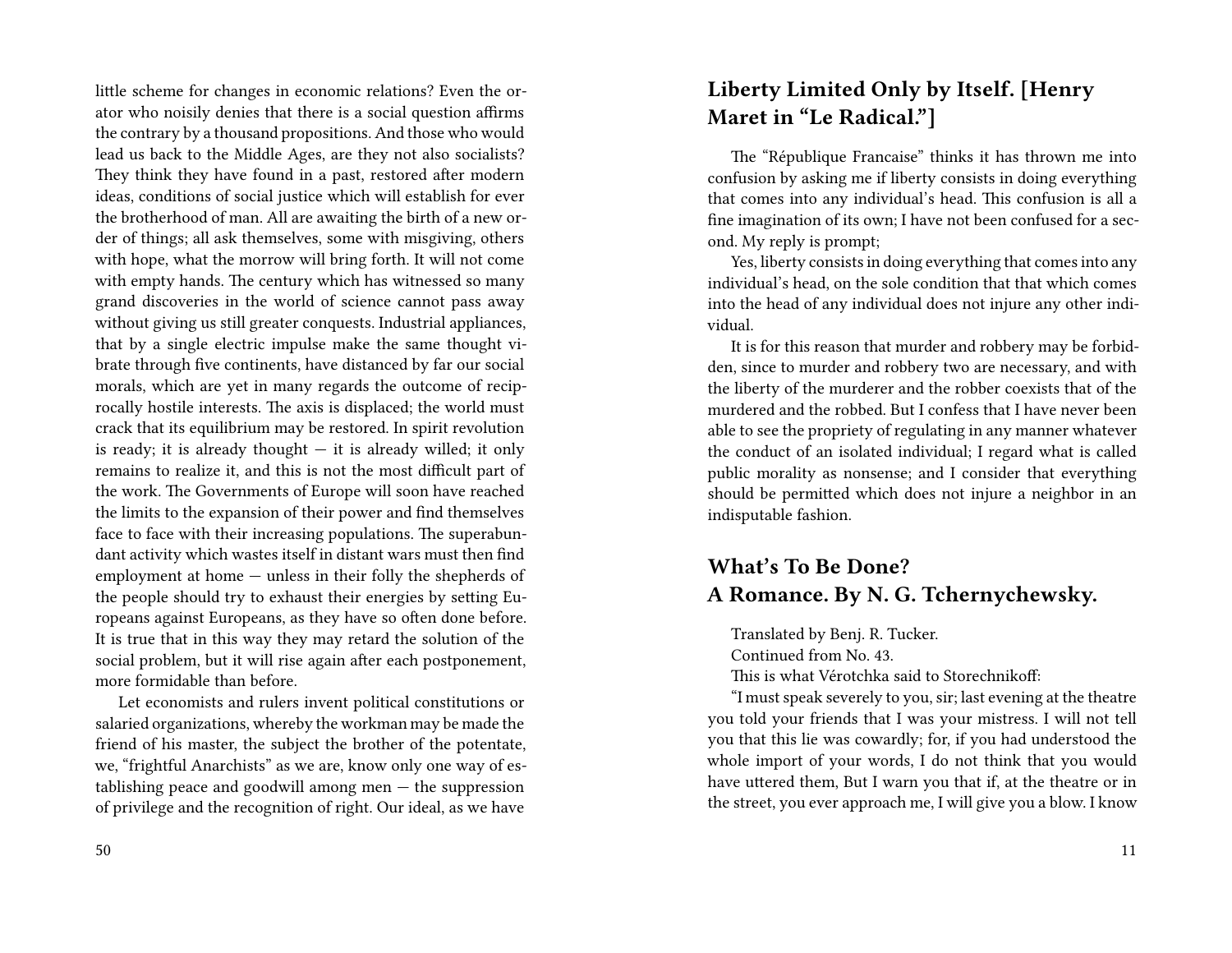little scheme for changes in economic relations? Even the orator who noisily denies that there is a social question affirms the contrary by a thousand propositions. And those who would lead us back to the Middle Ages, are they not also socialists? They think they have found in a past, restored after modern ideas, conditions of social justice which will establish for ever the brotherhood of man. All are awaiting the birth of a new order of things; all ask themselves, some with misgiving, others with hope, what the morrow will bring forth. It will not come with empty hands. The century which has witnessed so many grand discoveries in the world of science cannot pass away without giving us still greater conquests. Industrial appliances, that by a single electric impulse make the same thought vibrate through five continents, have distanced by far our social morals, which are yet in many regards the outcome of reciprocally hostile interests. The axis is displaced; the world must crack that its equilibrium may be restored. In spirit revolution is ready; it is already thought — it is already willed; it only remains to realize it, and this is not the most difficult part of the work. The Governments of Europe will soon have reached the limits to the expansion of their power and find themselves face to face with their increasing populations. The superabundant activity which wastes itself in distant wars must then find employment at home — unless in their folly the shepherds of the people should try to exhaust their energies by setting Europeans against Europeans, as they have so often done before. It is true that in this way they may retard the solution of the social problem, but it will rise again after each postponement, more formidable than before.

Let economists and rulers invent political constitutions or salaried organizations, whereby the workman may be made the friend of his master, the subject the brother of the potentate, we, "frightful Anarchists" as we are, know only one way of establishing peace and goodwill among men — the suppression of privilege and the recognition of right. Our ideal, as we have

## **Liberty Limited Only by Itself. [Henry Maret in "Le Radical."]**

The "République Francaise" thinks it has thrown me into confusion by asking me if liberty consists in doing everything that comes into any individual's head. This confusion is all a fine imagination of its own; I have not been confused for a second. My reply is prompt;

Yes, liberty consists in doing everything that comes into any individual's head, on the sole condition that that which comes into the head of any individual does not injure any other individual.

It is for this reason that murder and robbery may be forbidden, since to murder and robbery two are necessary, and with the liberty of the murderer and the robber coexists that of the murdered and the robbed. But I confess that I have never been able to see the propriety of regulating in any manner whatever the conduct of an isolated individual; I regard what is called public morality as nonsense; and I consider that everything should be permitted which does not injure a neighbor in an indisputable fashion.

## **What's To Be Done? A Romance. By N. G. Tchernychewsky.**

Translated by Benj. R. Tucker.

Continued from No. 43.

This is what Vérotchka said to Storechnikoff:

"I must speak severely to you, sir; last evening at the theatre you told your friends that I was your mistress. I will not tell you that this lie was cowardly; for, if you had understood the whole import of your words, I do not think that you would have uttered them, But I warn you that if, at the theatre or in the street, you ever approach me, I will give you a blow. I know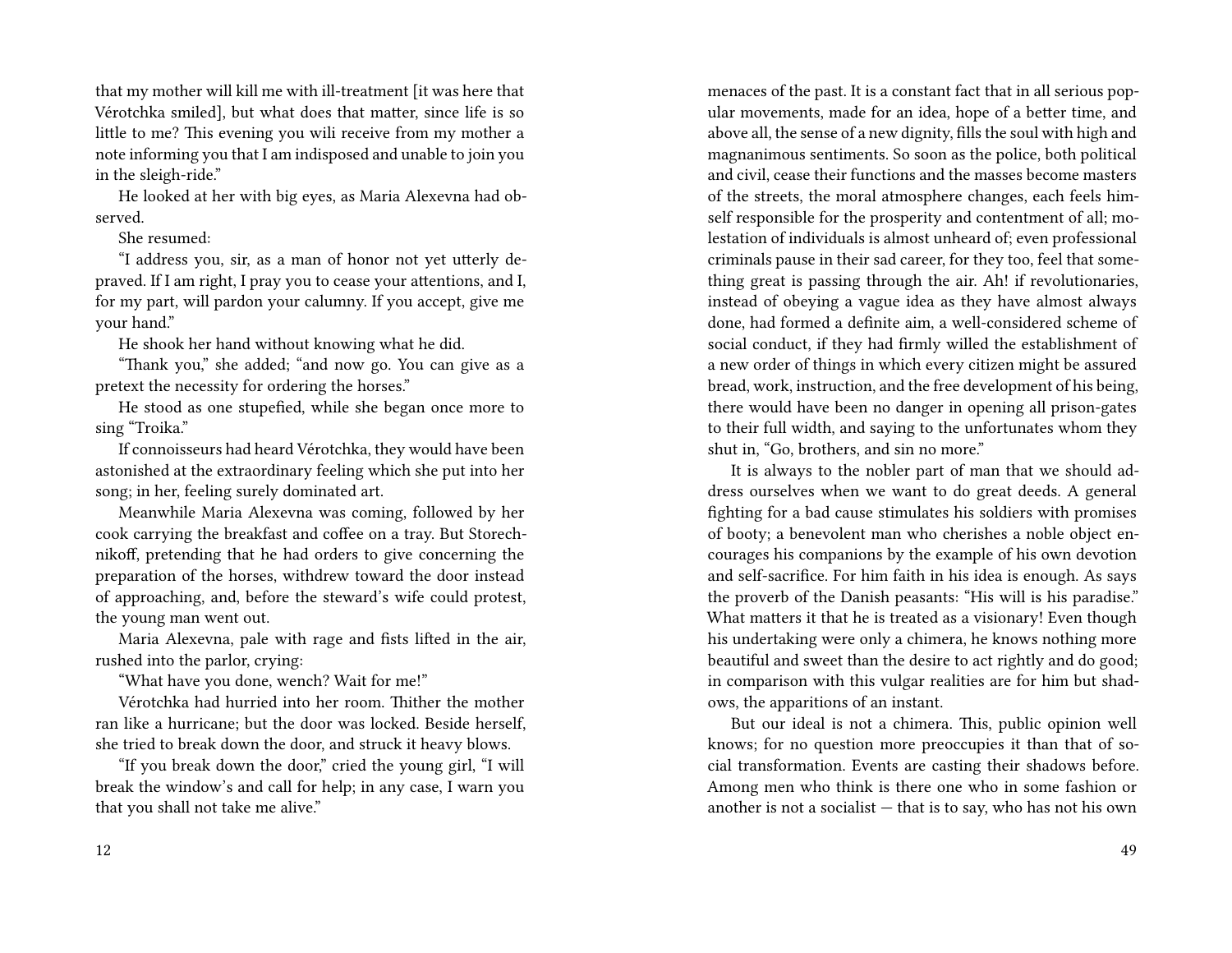that my mother will kill me with ill-treatment [it was here that Vérotchka smiled], but what does that matter, since life is so little to me? This evening you wili receive from my mother a note informing you that I am indisposed and unable to join you in the sleigh-ride."

He looked at her with big eyes, as Maria Alexevna had observed.

She resumed:

"I address you, sir, as a man of honor not yet utterly depraved. If I am right, I pray you to cease your attentions, and I, for my part, will pardon your calumny. If you accept, give me your hand."

He shook her hand without knowing what he did.

"Thank you," she added; "and now go. You can give as a pretext the necessity for ordering the horses."

He stood as one stupefied, while she began once more to sing "Troika."

If connoisseurs had heard Vérotchka, they would have been astonished at the extraordinary feeling which she put into her song; in her, feeling surely dominated art.

Meanwhile Maria Alexevna was coming, followed by her cook carrying the breakfast and coffee on a tray. But Storechnikoff, pretending that he had orders to give concerning the preparation of the horses, withdrew toward the door instead of approaching, and, before the steward's wife could protest, the young man went out.

Maria Alexevna, pale with rage and fists lifted in the air, rushed into the parlor, crying:

"What have you done, wench? Wait for me!"

Vérotchka had hurried into her room. Thither the mother ran like a hurricane; but the door was locked. Beside herself, she tried to break down the door, and struck it heavy blows.

"If you break down the door," cried the young girl, "I will break the window's and call for help; in any case, I warn you that you shall not take me alive."

menaces of the past. It is a constant fact that in all serious popular movements, made for an idea, hope of a better time, and above all, the sense of a new dignity, fills the soul with high and magnanimous sentiments. So soon as the police, both political and civil, cease their functions and the masses become masters of the streets, the moral atmosphere changes, each feels himself responsible for the prosperity and contentment of all; molestation of individuals is almost unheard of; even professional criminals pause in their sad career, for they too, feel that something great is passing through the air. Ah! if revolutionaries, instead of obeying a vague idea as they have almost always done, had formed a definite aim, a well-considered scheme of social conduct, if they had firmly willed the establishment of a new order of things in which every citizen might be assured bread, work, instruction, and the free development of his being, there would have been no danger in opening all prison-gates to their full width, and saying to the unfortunates whom they shut in, "Go, brothers, and sin no more."

It is always to the nobler part of man that we should address ourselves when we want to do great deeds. A general fighting for a bad cause stimulates his soldiers with promises of booty; a benevolent man who cherishes a noble object encourages his companions by the example of his own devotion and self-sacrifice. For him faith in his idea is enough. As says the proverb of the Danish peasants: "His will is his paradise." What matters it that he is treated as a visionary! Even though his undertaking were only a chimera, he knows nothing more beautiful and sweet than the desire to act rightly and do good; in comparison with this vulgar realities are for him but shadows, the apparitions of an instant.

But our ideal is not a chimera. This, public opinion well knows; for no question more preoccupies it than that of social transformation. Events are casting their shadows before. Among men who think is there one who in some fashion or another is not a socialist  $-$  that is to say, who has not his own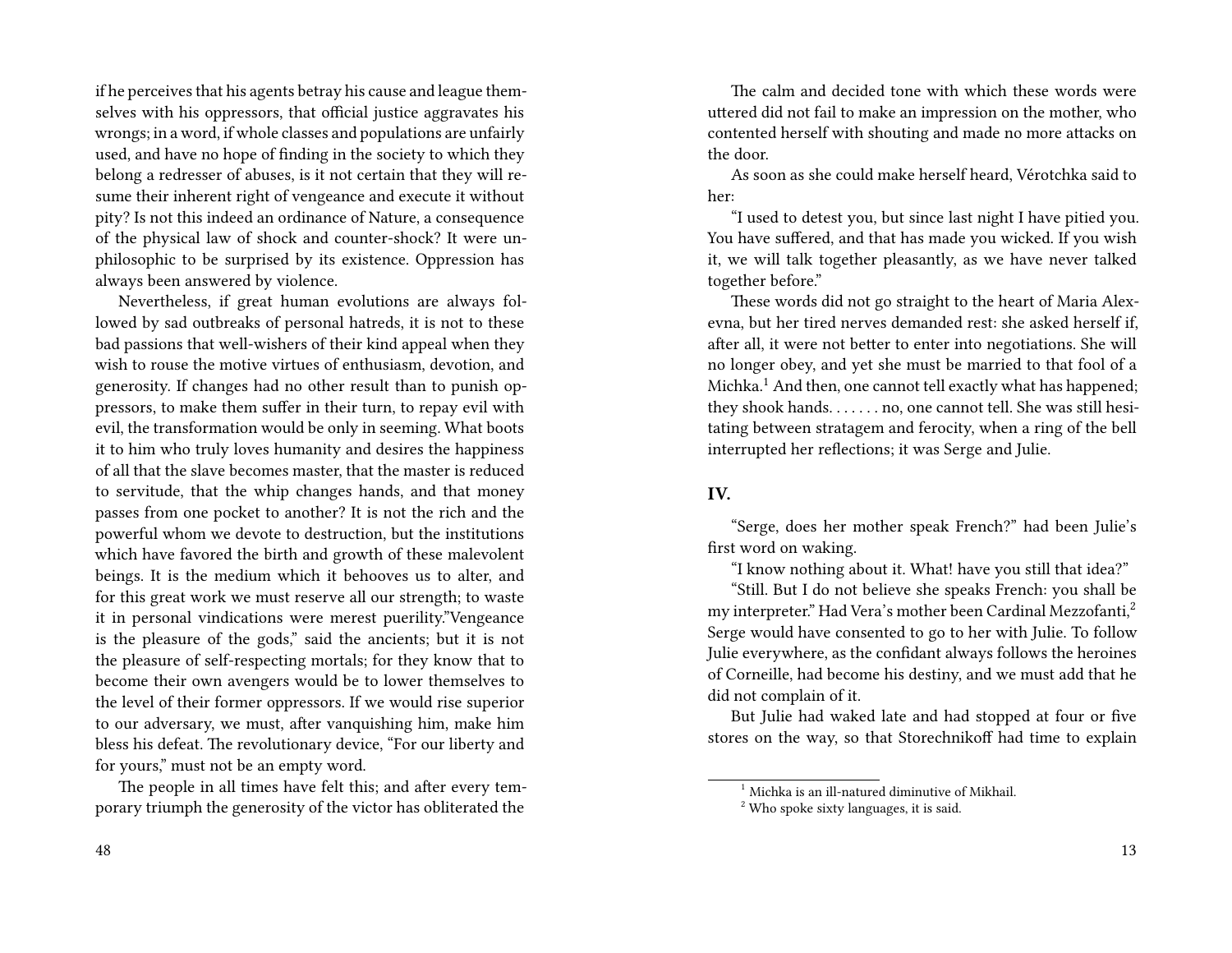if he perceives that his agents betray his cause and league themselves with his oppressors, that official justice aggravates his wrongs; in a word, if whole classes and populations are unfairly used, and have no hope of finding in the society to which they belong a redresser of abuses, is it not certain that they will resume their inherent right of vengeance and execute it without pity? Is not this indeed an ordinance of Nature, a consequence of the physical law of shock and counter-shock? It were unphilosophic to be surprised by its existence. Oppression has always been answered by violence.

Nevertheless, if great human evolutions are always followed by sad outbreaks of personal hatreds, it is not to these bad passions that well-wishers of their kind appeal when they wish to rouse the motive virtues of enthusiasm, devotion, and generosity. If changes had no other result than to punish oppressors, to make them suffer in their turn, to repay evil with evil, the transformation would be only in seeming. What boots it to him who truly loves humanity and desires the happiness of all that the slave becomes master, that the master is reduced to servitude, that the whip changes hands, and that money passes from one pocket to another? It is not the rich and the powerful whom we devote to destruction, but the institutions which have favored the birth and growth of these malevolent beings. It is the medium which it behooves us to alter, and for this great work we must reserve all our strength; to waste it in personal vindications were merest puerility."Vengeance is the pleasure of the gods," said the ancients; but it is not the pleasure of self-respecting mortals; for they know that to become their own avengers would be to lower themselves to the level of their former oppressors. If we would rise superior to our adversary, we must, after vanquishing him, make him bless his defeat. The revolutionary device, "For our liberty and for yours," must not be an empty word.

The people in all times have felt this; and after every temporary triumph the generosity of the victor has obliterated the

The calm and decided tone with which these words were uttered did not fail to make an impression on the mother, who contented herself with shouting and made no more attacks on the door.

As soon as she could make herself heard, Vérotchka said to her:

"I used to detest you, but since last night I have pitied you. You have suffered, and that has made you wicked. If you wish it, we will talk together pleasantly, as we have never talked together before."

These words did not go straight to the heart of Maria Alexevna, but her tired nerves demanded rest: she asked herself if, after all, it were not better to enter into negotiations. She will no longer obey, and yet she must be married to that fool of a Michka.<sup>1</sup> And then, one cannot tell exactly what has happened; they shook hands. . . . . . . no, one cannot tell. She was still hesitating between stratagem and ferocity, when a ring of the bell interrupted her reflections; it was Serge and Julie.

#### **IV.**

"Serge, does her mother speak French?" had been Julie's first word on waking.

"I know nothing about it. What! have you still that idea?"

"Still. But I do not believe she speaks French: you shall be my interpreter." Had Vera's mother been Cardinal Mezzofanti,<sup>2</sup> Serge would have consented to go to her with Julie. To follow Julie everywhere, as the confidant always follows the heroines of Corneille, had become his destiny, and we must add that he did not complain of it.

But Julie had waked late and had stopped at four or five stores on the way, so that Storechnikoff had time to explain

 $1$  Michka is an ill-natured diminutive of Mikhail.

<sup>&</sup>lt;sup>2</sup> Who spoke sixty languages, it is said.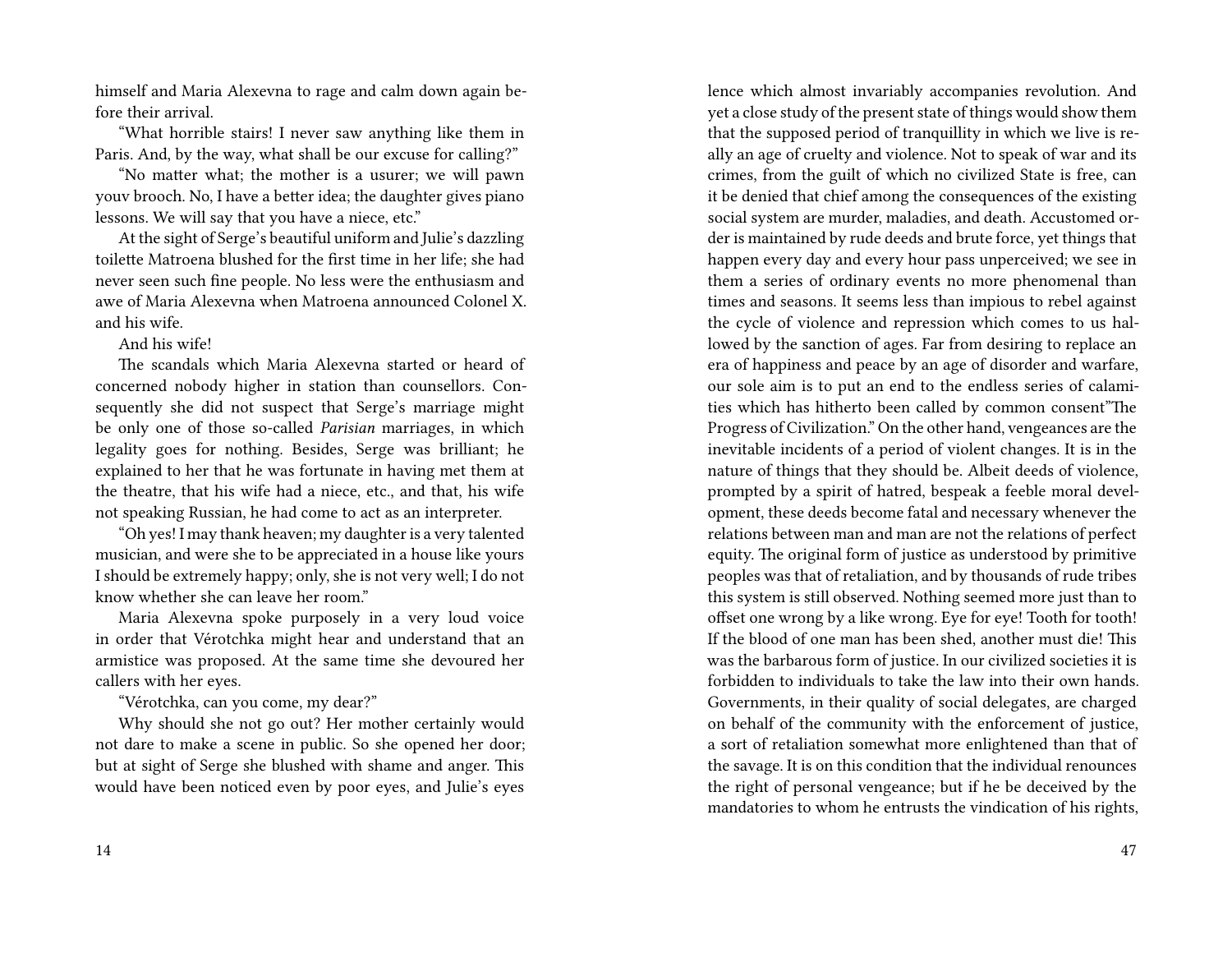himself and Maria Alexevna to rage and calm down again before their arrival.

"What horrible stairs! I never saw anything like them in Paris. And, by the way, what shall be our excuse for calling?"

"No matter what; the mother is a usurer; we will pawn youv brooch. No, I have a better idea; the daughter gives piano lessons. We will say that you have a niece, etc."

At the sight of Serge's beautiful uniform and Julie's dazzling toilette Matroena blushed for the first time in her life; she had never seen such fine people. No less were the enthusiasm and awe of Maria Alexevna when Matroena announced Colonel X. and his wife.

And his wife!

The scandals which Maria Alexevna started or heard of concerned nobody higher in station than counsellors. Consequently she did not suspect that Serge's marriage might be only one of those so-called *Parisian* marriages, in which legality goes for nothing. Besides, Serge was brilliant; he explained to her that he was fortunate in having met them at the theatre, that his wife had a niece, etc., and that, his wife not speaking Russian, he had come to act as an interpreter.

"Oh yes! I may thank heaven; my daughter is a very talented musician, and were she to be appreciated in a house like yours I should be extremely happy; only, she is not very well; I do not know whether she can leave her room."

Maria Alexevna spoke purposely in a very loud voice in order that Vérotchka might hear and understand that an armistice was proposed. At the same time she devoured her callers with her eyes.

"Vérotchka, can you come, my dear?"

Why should she not go out? Her mother certainly would not dare to make a scene in public. So she opened her door; but at sight of Serge she blushed with shame and anger. This would have been noticed even by poor eyes, and Julie's eyes

lence which almost invariably accompanies revolution. And yet a close study of the present state of things would show them that the supposed period of tranquillity in which we live is really an age of cruelty and violence. Not to speak of war and its crimes, from the guilt of which no civilized State is free, can it be denied that chief among the consequences of the existing social system are murder, maladies, and death. Accustomed order is maintained by rude deeds and brute force, yet things that happen every day and every hour pass unperceived; we see in them a series of ordinary events no more phenomenal than times and seasons. It seems less than impious to rebel against the cycle of violence and repression which comes to us hallowed by the sanction of ages. Far from desiring to replace an era of happiness and peace by an age of disorder and warfare, our sole aim is to put an end to the endless series of calamities which has hitherto been called by common consent"The Progress of Civilization." On the other hand, vengeances are the inevitable incidents of a period of violent changes. It is in the nature of things that they should be. Albeit deeds of violence, prompted by a spirit of hatred, bespeak a feeble moral development, these deeds become fatal and necessary whenever the relations between man and man are not the relations of perfect equity. The original form of justice as understood by primitive peoples was that of retaliation, and by thousands of rude tribes this system is still observed. Nothing seemed more just than to offset one wrong by a like wrong. Eye for eye! Tooth for tooth! If the blood of one man has been shed, another must die! This was the barbarous form of justice. In our civilized societies it is forbidden to individuals to take the law into their own hands. Governments, in their quality of social delegates, are charged on behalf of the community with the enforcement of justice, a sort of retaliation somewhat more enlightened than that of the savage. It is on this condition that the individual renounces the right of personal vengeance; but if he be deceived by the mandatories to whom he entrusts the vindication of his rights,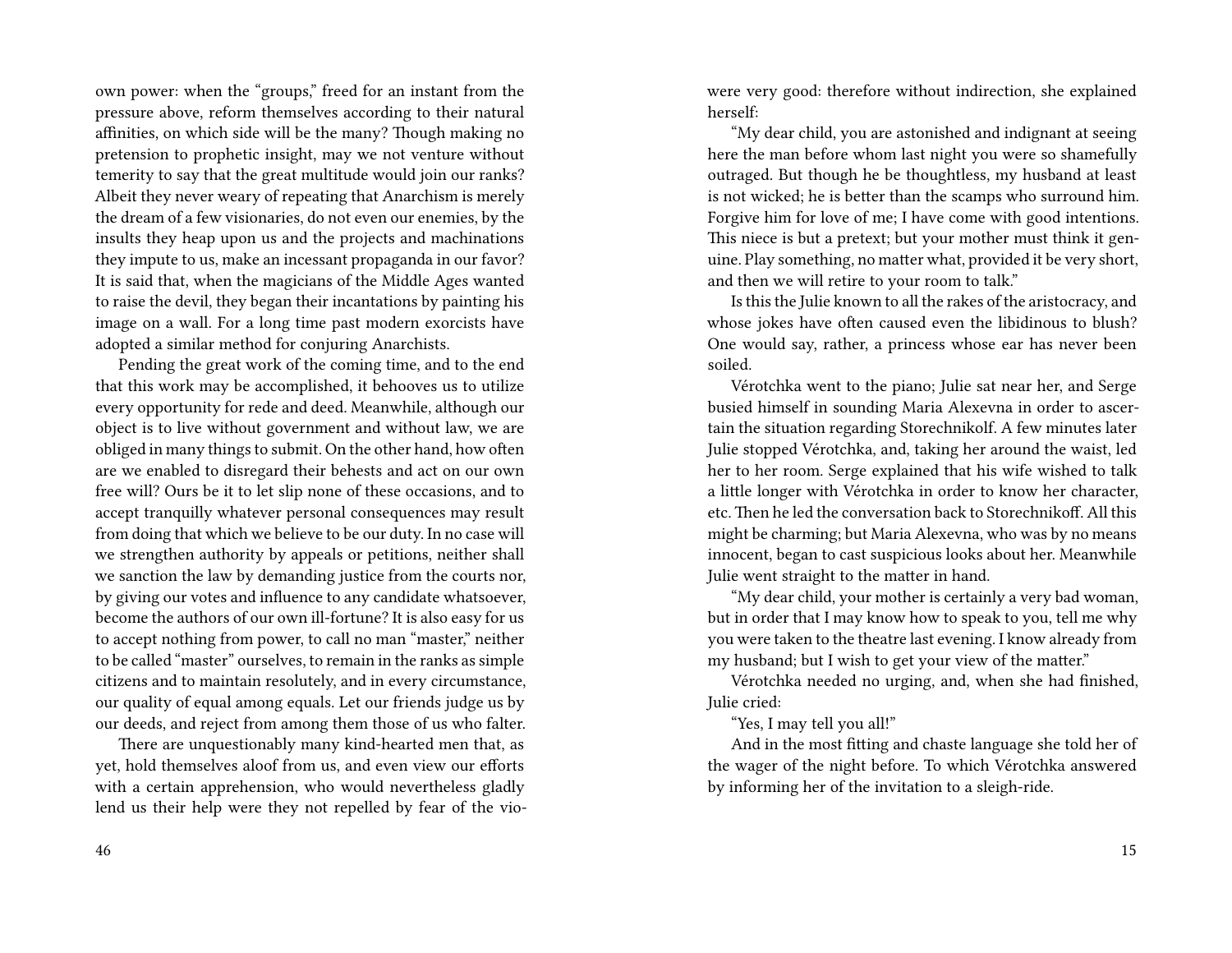own power: when the "groups," freed for an instant from the pressure above, reform themselves according to their natural affinities, on which side will be the many? Though making no pretension to prophetic insight, may we not venture without temerity to say that the great multitude would join our ranks? Albeit they never weary of repeating that Anarchism is merely the dream of a few visionaries, do not even our enemies, by the insults they heap upon us and the projects and machinations they impute to us, make an incessant propaganda in our favor? It is said that, when the magicians of the Middle Ages wanted to raise the devil, they began their incantations by painting his image on a wall. For a long time past modern exorcists have adopted a similar method for conjuring Anarchists.

Pending the great work of the coming time, and to the end that this work may be accomplished, it behooves us to utilize every opportunity for rede and deed. Meanwhile, although our object is to live without government and without law, we are obliged in many things to submit. On the other hand, how often are we enabled to disregard their behests and act on our own free will? Ours be it to let slip none of these occasions, and to accept tranquilly whatever personal consequences may result from doing that which we believe to be our duty. In no case will we strengthen authority by appeals or petitions, neither shall we sanction the law by demanding justice from the courts nor, by giving our votes and influence to any candidate whatsoever, become the authors of our own ill-fortune? It is also easy for us to accept nothing from power, to call no man "master," neither to be called "master" ourselves, to remain in the ranks as simple citizens and to maintain resolutely, and in every circumstance, our quality of equal among equals. Let our friends judge us by our deeds, and reject from among them those of us who falter.

There are unquestionably many kind-hearted men that, as yet, hold themselves aloof from us, and even view our efforts with a certain apprehension, who would nevertheless gladly lend us their help were they not repelled by fear of the viowere very good: therefore without indirection, she explained herself:

"My dear child, you are astonished and indignant at seeing here the man before whom last night you were so shamefully outraged. But though he be thoughtless, my husband at least is not wicked; he is better than the scamps who surround him. Forgive him for love of me; I have come with good intentions. This niece is but a pretext; but your mother must think it genuine. Play something, no matter what, provided it be very short, and then we will retire to your room to talk."

Is this the Julie known to all the rakes of the aristocracy, and whose jokes have often caused even the libidinous to blush? One would say, rather, a princess whose ear has never been soiled.

Vérotchka went to the piano; Julie sat near her, and Serge busied himself in sounding Maria Alexevna in order to ascertain the situation regarding Storechnikolf. A few minutes later Julie stopped Vérotchka, and, taking her around the waist, led her to her room. Serge explained that his wife wished to talk a little longer with Vérotchka in order to know her character, etc. Then he led the conversation back to Storechnikoff. All this might be charming; but Maria Alexevna, who was by no means innocent, began to cast suspicious looks about her. Meanwhile Julie went straight to the matter in hand.

"My dear child, your mother is certainly a very bad woman, but in order that I may know how to speak to you, tell me why you were taken to the theatre last evening. I know already from my husband; but I wish to get your view of the matter."

Vérotchka needed no urging, and, when she had finished, Julie cried:

"Yes, I may tell you all!"

And in the most fitting and chaste language she told her of the wager of the night before. To which Vérotchka answered by informing her of the invitation to a sleigh-ride.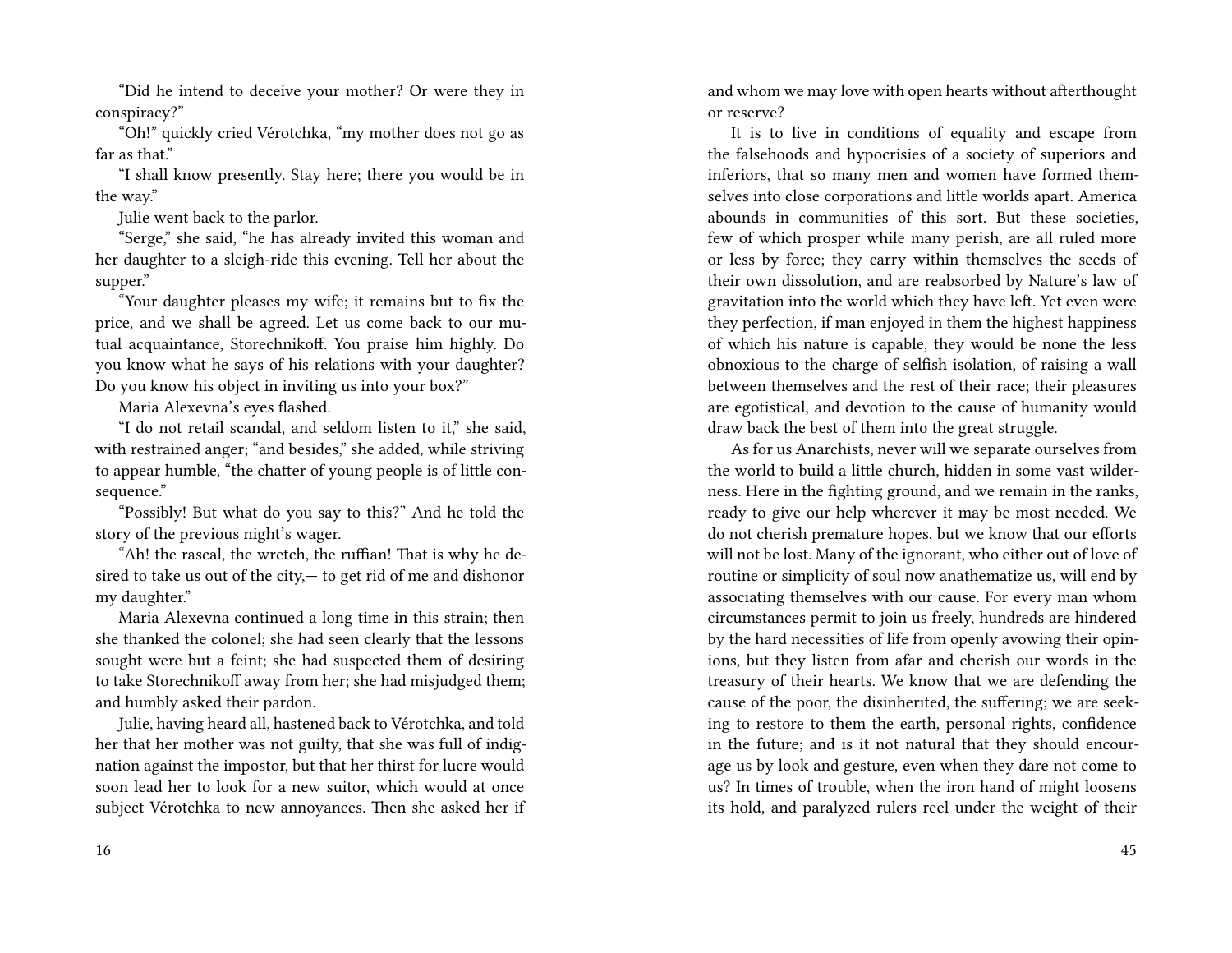"Did he intend to deceive your mother? Or were they in conspiracy?"

"Oh!" quickly cried Vérotchka, "my mother does not go as far as that."

"I shall know presently. Stay here; there you would be in the way."

Julie went back to the parlor.

"Serge," she said, "he has already invited this woman and her daughter to a sleigh-ride this evening. Tell her about the supper."

"Your daughter pleases my wife; it remains but to fix the price, and we shall be agreed. Let us come back to our mutual acquaintance, Storechnikoff. You praise him highly. Do you know what he says of his relations with your daughter? Do you know his object in inviting us into your box?"

Maria Alexevna's eyes flashed.

"I do not retail scandal, and seldom listen to it," she said, with restrained anger; "and besides," she added, while striving to appear humble, "the chatter of young people is of little consequence."

"Possibly! But what do you say to this?" And he told the story of the previous night's wager.

"Ah! the rascal, the wretch, the ruffian! That is why he desired to take us out of the city,— to get rid of me and dishonor my daughter."

Maria Alexevna continued a long time in this strain; then she thanked the colonel; she had seen clearly that the lessons sought were but a feint; she had suspected them of desiring to take Storechnikoff away from her; she had misjudged them; and humbly asked their pardon.

Julie, having heard all, hastened back to Vérotchka, and told her that her mother was not guilty, that she was full of indignation against the impostor, but that her thirst for lucre would soon lead her to look for a new suitor, which would at once subject Vérotchka to new annoyances. Then she asked her if and whom we may love with open hearts without afterthought or reserve?

It is to live in conditions of equality and escape from the falsehoods and hypocrisies of a society of superiors and inferiors, that so many men and women have formed themselves into close corporations and little worlds apart. America abounds in communities of this sort. But these societies, few of which prosper while many perish, are all ruled more or less by force; they carry within themselves the seeds of their own dissolution, and are reabsorbed by Nature's law of gravitation into the world which they have left. Yet even were they perfection, if man enjoyed in them the highest happiness of which his nature is capable, they would be none the less obnoxious to the charge of selfish isolation, of raising a wall between themselves and the rest of their race; their pleasures are egotistical, and devotion to the cause of humanity would draw back the best of them into the great struggle.

As for us Anarchists, never will we separate ourselves from the world to build a little church, hidden in some vast wilderness. Here in the fighting ground, and we remain in the ranks, ready to give our help wherever it may be most needed. We do not cherish premature hopes, but we know that our efforts will not be lost. Many of the ignorant, who either out of love of routine or simplicity of soul now anathematize us, will end by associating themselves with our cause. For every man whom circumstances permit to join us freely, hundreds are hindered by the hard necessities of life from openly avowing their opinions, but they listen from afar and cherish our words in the treasury of their hearts. We know that we are defending the cause of the poor, the disinherited, the suffering; we are seeking to restore to them the earth, personal rights, confidence in the future; and is it not natural that they should encourage us by look and gesture, even when they dare not come to us? In times of trouble, when the iron hand of might loosens its hold, and paralyzed rulers reel under the weight of their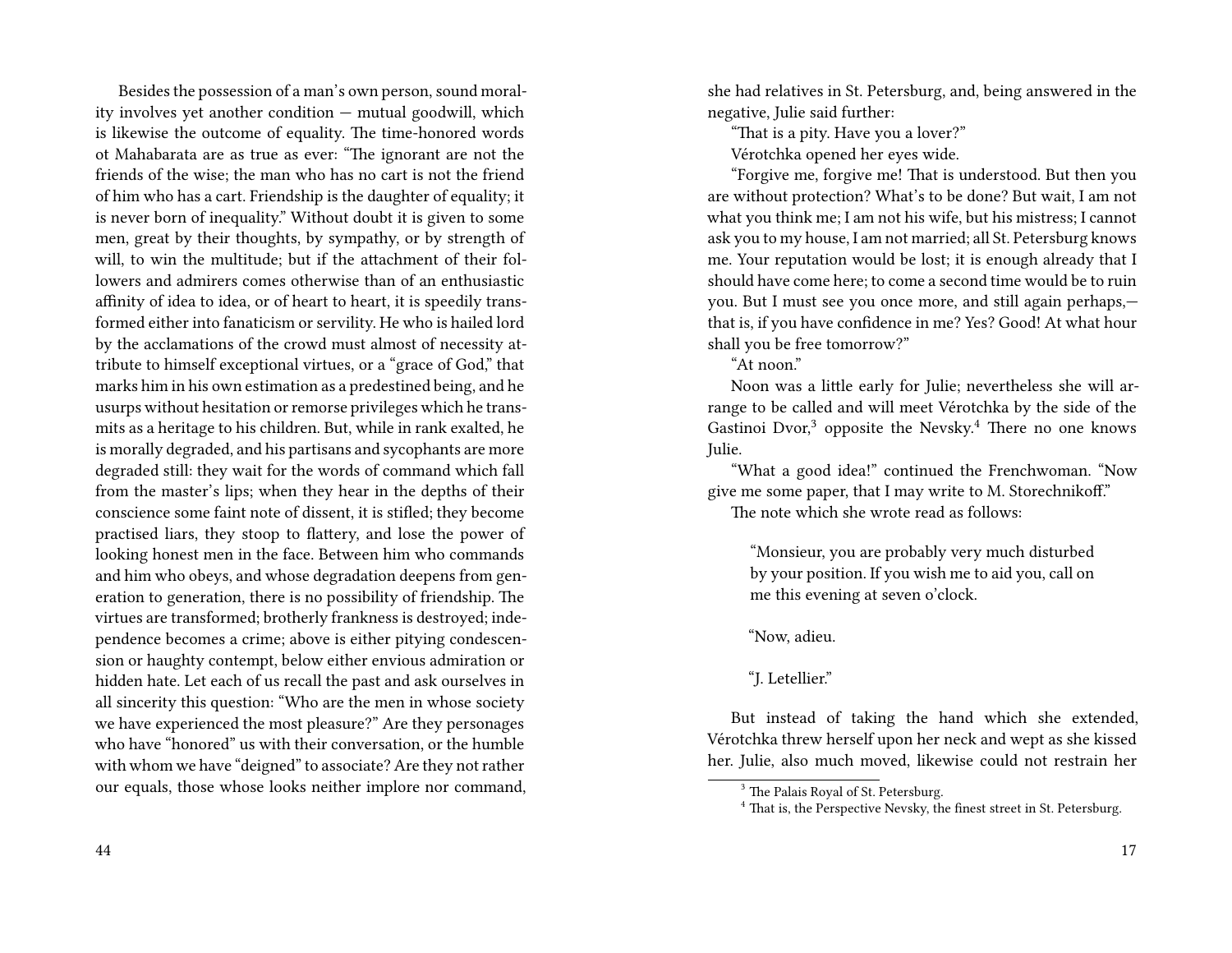Besides the possession of a man's own person, sound morality involves yet another condition — mutual goodwill, which is likewise the outcome of equality. The time-honored words ot Mahabarata are as true as ever: "The ignorant are not the friends of the wise; the man who has no cart is not the friend of him who has a cart. Friendship is the daughter of equality; it is never born of inequality." Without doubt it is given to some men, great by their thoughts, by sympathy, or by strength of will, to win the multitude; but if the attachment of their followers and admirers comes otherwise than of an enthusiastic affinity of idea to idea, or of heart to heart, it is speedily transformed either into fanaticism or servility. He who is hailed lord by the acclamations of the crowd must almost of necessity attribute to himself exceptional virtues, or a "grace of God," that marks him in his own estimation as a predestined being, and he usurps without hesitation or remorse privileges which he transmits as a heritage to his children. But, while in rank exalted, he is morally degraded, and his partisans and sycophants are more degraded still: they wait for the words of command which fall from the master's lips; when they hear in the depths of their conscience some faint note of dissent, it is stifled; they become practised liars, they stoop to flattery, and lose the power of looking honest men in the face. Between him who commands and him who obeys, and whose degradation deepens from generation to generation, there is no possibility of friendship. The virtues are transformed; brotherly frankness is destroyed; independence becomes a crime; above is either pitying condescension or haughty contempt, below either envious admiration or hidden hate. Let each of us recall the past and ask ourselves in all sincerity this question: "Who are the men in whose society we have experienced the most pleasure?" Are they personages who have "honored" us with their conversation, or the humble with whom we have "deigned" to associate? Are they not rather our equals, those whose looks neither implore nor command,

she had relatives in St. Petersburg, and, being answered in the negative, Julie said further:

"That is a pity. Have you a lover?"

Vérotchka opened her eyes wide.

"Forgive me, forgive me! That is understood. But then you are without protection? What's to be done? But wait, I am not what you think me; I am not his wife, but his mistress; I cannot ask you to my house, I am not married; all St. Petersburg knows me. Your reputation would be lost; it is enough already that I should have come here; to come a second time would be to ruin you. But I must see you once more, and still again perhaps, that is, if you have confidence in me? Yes? Good! At what hour shall you be free tomorrow?"

"At noon."

Noon was a little early for Julie; nevertheless she will arrange to be called and will meet Vérotchka by the side of the Gastinoi Dvor, $3$  opposite the Nevsky. $4$  There no one knows Julie.

"What a good idea!" continued the Frenchwoman. "Now give me some paper, that I may write to M. Storechnikoff." The note which she wrote read as follows:

"Monsieur, you are probably very much disturbed by your position. If you wish me to aid you, call on me this evening at seven o'clock.

"Now, adieu.

"J. Letellier."

But instead of taking the hand which she extended, Vérotchka threw herself upon her neck and wept as she kissed her. Julie, also much moved, likewise could not restrain her

<sup>&</sup>lt;sup>3</sup> The Palais Royal of St. Petersburg.

<sup>&</sup>lt;sup>4</sup> That is, the Perspective Nevsky, the finest street in St. Petersburg.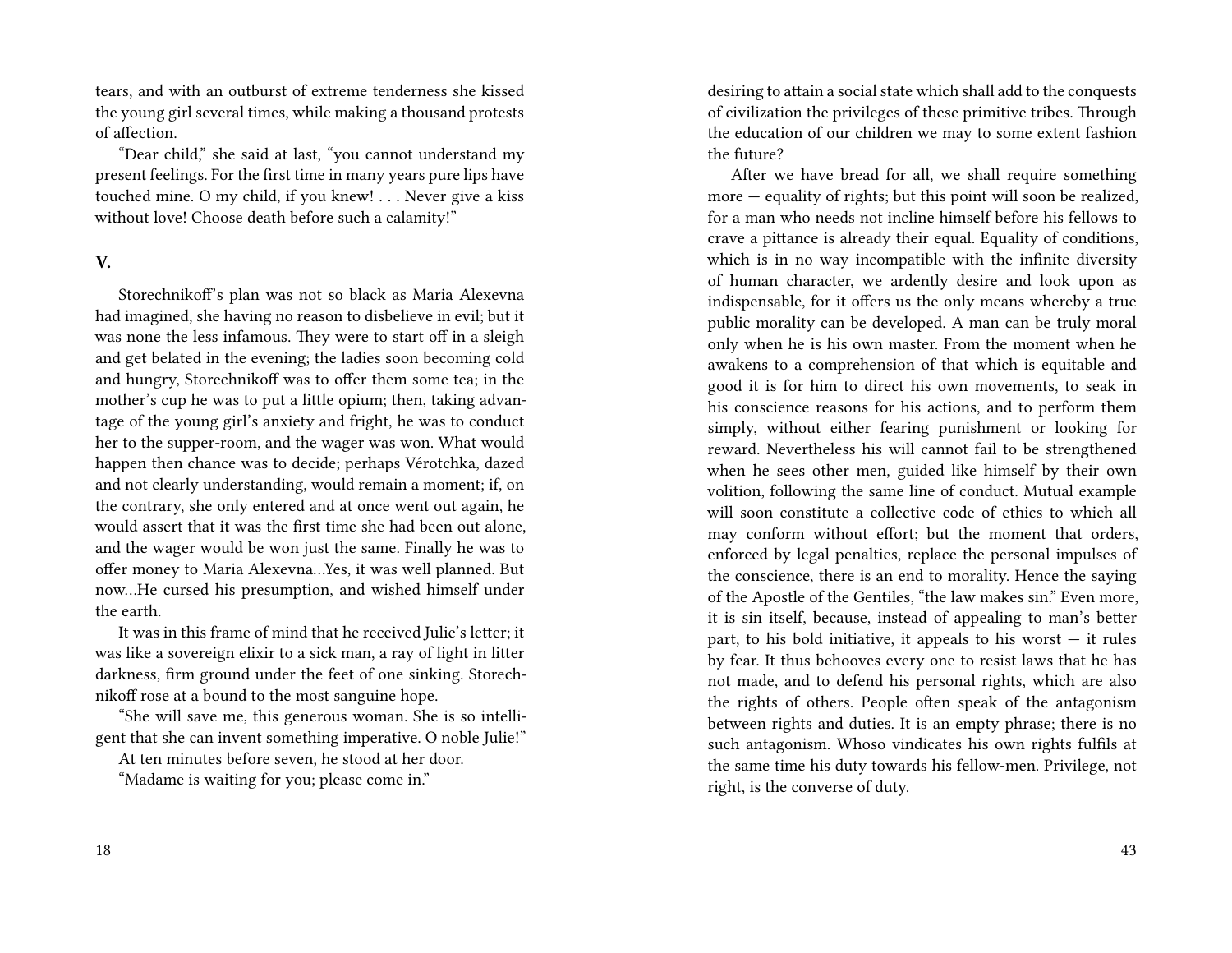tears, and with an outburst of extreme tenderness she kissed the young girl several times, while making a thousand protests of affection.

"Dear child," she said at last, "you cannot understand my present feelings. For the first time in many years pure lips have touched mine. O my child, if you knew! . . . Never give a kiss without love! Choose death before such a calamity!"

#### **V.**

Storechnikof's plan was not so black as Maria Alexevna had imagined, she having no reason to disbelieve in evil; but it was none the less infamous. They were to start off in a sleigh and get belated in the evening; the ladies soon becoming cold and hungry, Storechnikoff was to offer them some tea; in the mother's cup he was to put a little opium; then, taking advantage of the young girl's anxiety and fright, he was to conduct her to the supper-room, and the wager was won. What would happen then chance was to decide; perhaps Vérotchka, dazed and not clearly understanding, would remain a moment; if, on the contrary, she only entered and at once went out again, he would assert that it was the first time she had been out alone, and the wager would be won just the same. Finally he was to offer money to Maria Alexevna…Yes, it was well planned. But now…He cursed his presumption, and wished himself under the earth.

It was in this frame of mind that he received Julie's letter; it was like a sovereign elixir to a sick man, a ray of light in litter darkness, firm ground under the feet of one sinking. Storechnikoff rose at a bound to the most sanguine hope.

"She will save me, this generous woman. She is so intelligent that she can invent something imperative. O noble Julie!"

At ten minutes before seven, he stood at her door.

"Madame is waiting for you; please come in."

desiring to attain a social state which shall add to the conquests of civilization the privileges of these primitive tribes. Through the education of our children we may to some extent fashion the future?

After we have bread for all, we shall require something more — equality of rights; but this point will soon be realized, for a man who needs not incline himself before his fellows to crave a pittance is already their equal. Equality of conditions, which is in no way incompatible with the infinite diversity of human character, we ardently desire and look upon as indispensable, for it offers us the only means whereby a true public morality can be developed. A man can be truly moral only when he is his own master. From the moment when he awakens to a comprehension of that which is equitable and good it is for him to direct his own movements, to seak in his conscience reasons for his actions, and to perform them simply, without either fearing punishment or looking for reward. Nevertheless his will cannot fail to be strengthened when he sees other men, guided like himself by their own volition, following the same line of conduct. Mutual example will soon constitute a collective code of ethics to which all may conform without effort; but the moment that orders, enforced by legal penalties, replace the personal impulses of the conscience, there is an end to morality. Hence the saying of the Apostle of the Gentiles, "the law makes sin." Even more, it is sin itself, because, instead of appealing to man's better part, to his bold initiative, it appeals to his worst  $-$  it rules by fear. It thus behooves every one to resist laws that he has not made, and to defend his personal rights, which are also the rights of others. People often speak of the antagonism between rights and duties. It is an empty phrase; there is no such antagonism. Whoso vindicates his own rights fulfils at the same time his duty towards his fellow-men. Privilege, not right, is the converse of duty.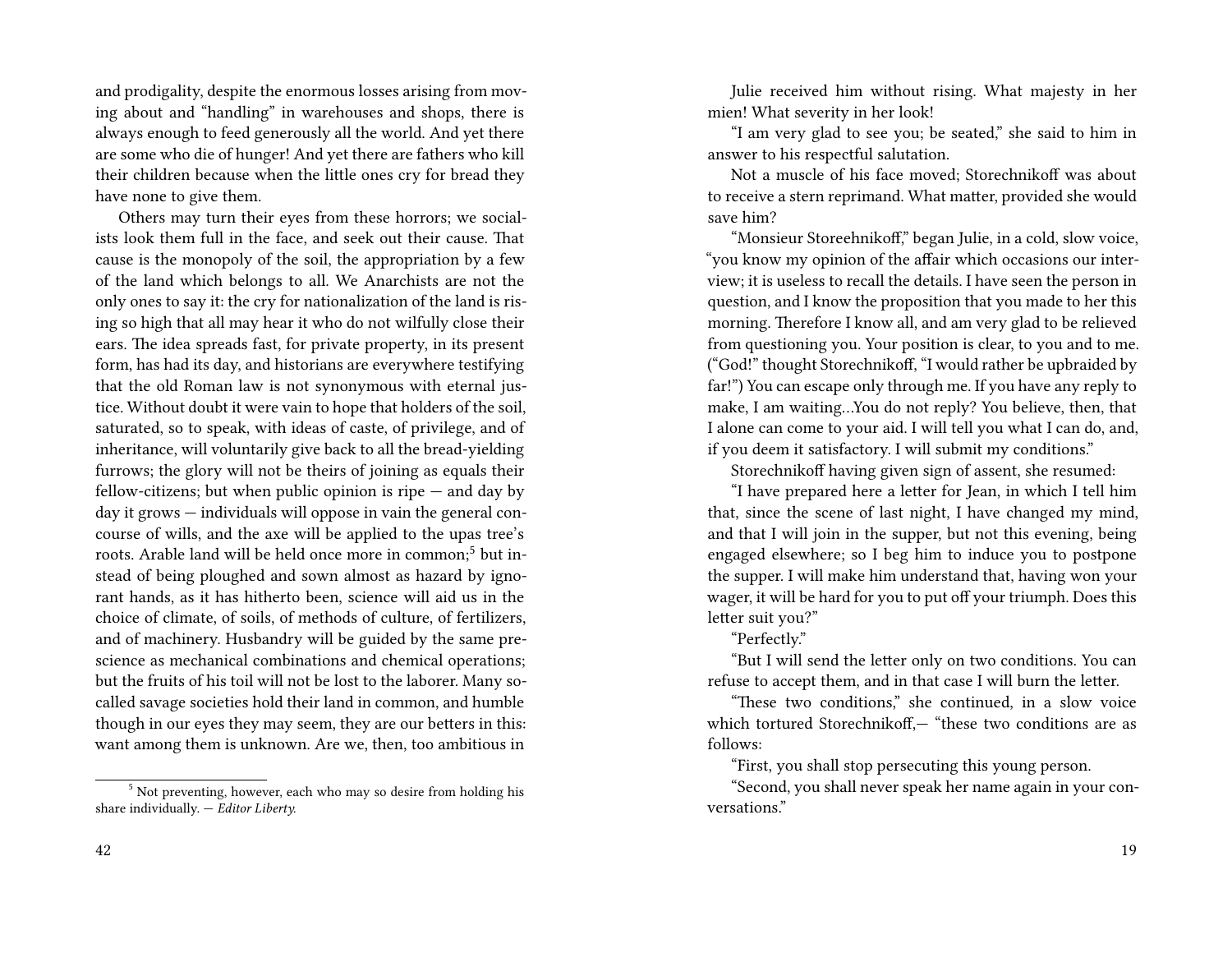and prodigality, despite the enormous losses arising from moving about and "handling" in warehouses and shops, there is always enough to feed generously all the world. And yet there are some who die of hunger! And yet there are fathers who kill their children because when the little ones cry for bread they have none to give them.

Others may turn their eyes from these horrors; we socialists look them full in the face, and seek out their cause. That cause is the monopoly of the soil, the appropriation by a few of the land which belongs to all. We Anarchists are not the only ones to say it: the cry for nationalization of the land is rising so high that all may hear it who do not wilfully close their ears. The idea spreads fast, for private property, in its present form, has had its day, and historians are everywhere testifying that the old Roman law is not synonymous with eternal justice. Without doubt it were vain to hope that holders of the soil, saturated, so to speak, with ideas of caste, of privilege, and of inheritance, will voluntarily give back to all the bread-yielding furrows; the glory will not be theirs of joining as equals their fellow-citizens; but when public opinion is ripe  $-$  and day by day it grows — individuals will oppose in vain the general concourse of wills, and the axe will be applied to the upas tree's roots. Arable land will be held once more in common:<sup>5</sup> but instead of being ploughed and sown almost as hazard by ignorant hands, as it has hitherto been, science will aid us in the choice of climate, of soils, of methods of culture, of fertilizers, and of machinery. Husbandry will be guided by the same prescience as mechanical combinations and chemical operations; but the fruits of his toil will not be lost to the laborer. Many socalled savage societies hold their land in common, and humble though in our eyes they may seem, they are our betters in this: want among them is unknown. Are we, then, too ambitious in

<sup>5</sup> Not preventing, however, each who may so desire from holding his share individually. — *Editor Liberty.*

Julie received him without rising. What majesty in her mien! What severity in her look!

"I am very glad to see you; be seated," she said to him in answer to his respectful salutation.

Not a muscle of his face moved; Storechnikoff was about to receive a stern reprimand. What matter, provided she would save him?

"Monsieur Storeehnikoff," began Julie, in a cold, slow voice, "you know my opinion of the affair which occasions our interview; it is useless to recall the details. I have seen the person in question, and I know the proposition that you made to her this morning. Therefore I know all, and am very glad to be relieved from questioning you. Your position is clear, to you and to me. ("God!" thought Storechnikoff, "I would rather be upbraided by far!") You can escape only through me. If you have any reply to make, I am waiting…You do not reply? You believe, then, that I alone can come to your aid. I will tell you what I can do, and, if you deem it satisfactory. I will submit my conditions."

Storechnikoff having given sign of assent, she resumed:

"I have prepared here a letter for Jean, in which I tell him that, since the scene of last night, I have changed my mind, and that I will join in the supper, but not this evening, being engaged elsewhere; so I beg him to induce you to postpone the supper. I will make him understand that, having won your wager, it will be hard for you to put off your triumph. Does this letter suit you?"

"Perfectly."

"But I will send the letter only on two conditions. You can refuse to accept them, and in that case I will burn the letter.

"These two conditions," she continued, in a slow voice which tortured Storechnikoff,— "these two conditions are as follows:

"First, you shall stop persecuting this young person.

"Second, you shall never speak her name again in your conversations."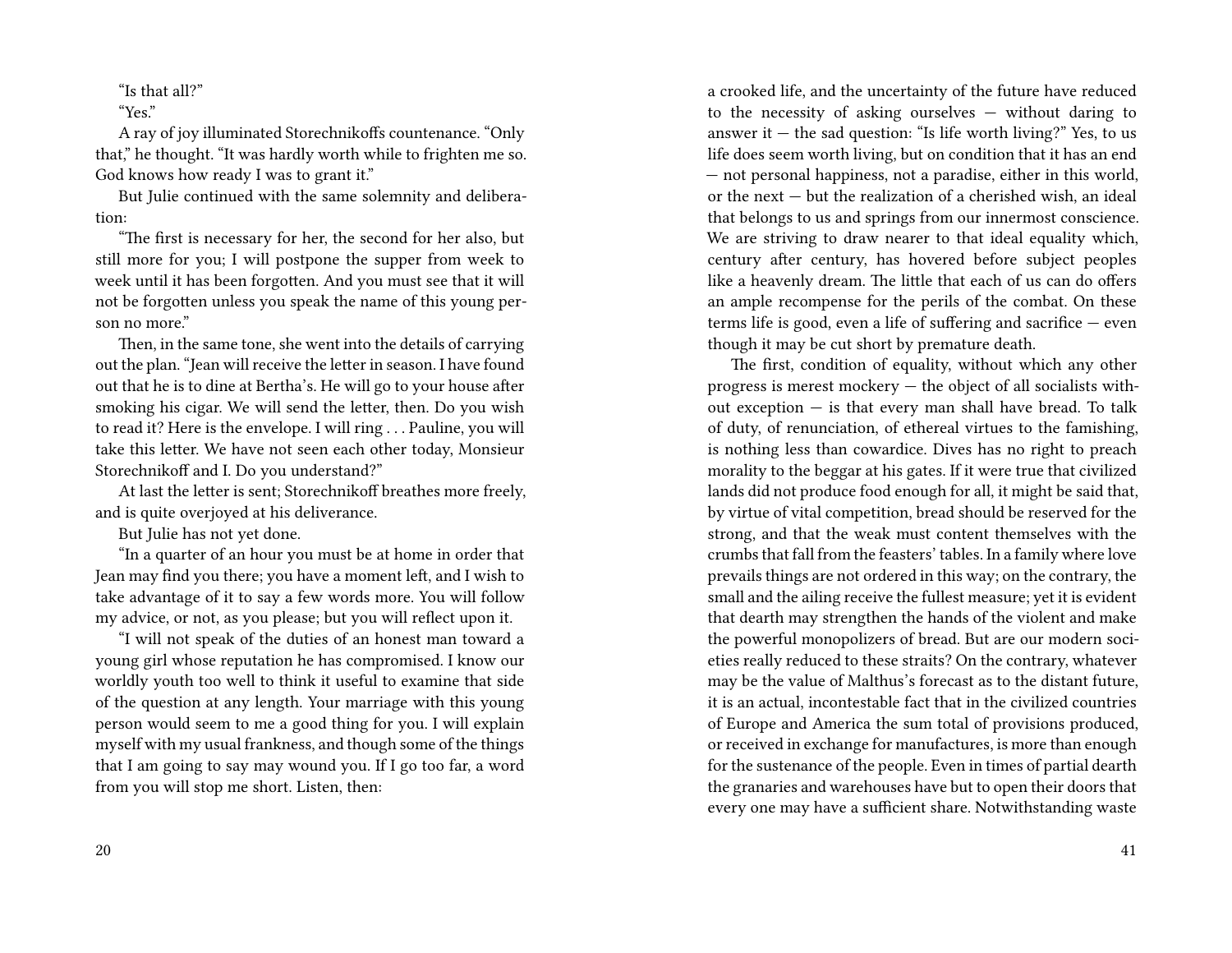"Is that all?"

"Yes."

A ray of joy illuminated Storechnikoffs countenance. "Only that," he thought. "It was hardly worth while to frighten me so. God knows how ready I was to grant it."

But Julie continued with the same solemnity and deliberation:

"The first is necessary for her, the second for her also, but still more for you; I will postpone the supper from week to week until it has been forgotten. And you must see that it will not be forgotten unless you speak the name of this young person no more."

Then, in the same tone, she went into the details of carrying out the plan. "Jean will receive the letter in season. I have found out that he is to dine at Bertha's. He will go to your house after smoking his cigar. We will send the letter, then. Do you wish to read it? Here is the envelope. I will ring . . . Pauline, you will take this letter. We have not seen each other today, Monsieur Storechnikoff and I. Do you understand?"

At last the letter is sent; Storechnikoff breathes more freely, and is quite overjoyed at his deliverance.

But Julie has not yet done.

"In a quarter of an hour you must be at home in order that Jean may find you there; you have a moment left, and I wish to take advantage of it to say a few words more. You will follow my advice, or not, as you please; but you will reflect upon it.

"I will not speak of the duties of an honest man toward a young girl whose reputation he has compromised. I know our worldly youth too well to think it useful to examine that side of the question at any length. Your marriage with this young person would seem to me a good thing for you. I will explain myself with my usual frankness, and though some of the things that I am going to say may wound you. If I go too far, a word from you will stop me short. Listen, then:

a crooked life, and the uncertainty of the future have reduced to the necessity of asking ourselves — without daring to answer it  $-$  the sad question: "Is life worth living?" Yes, to us life does seem worth living, but on condition that it has an end — not personal happiness, not a paradise, either in this world, or the next — but the realization of a cherished wish, an ideal that belongs to us and springs from our innermost conscience. We are striving to draw nearer to that ideal equality which, century after century, has hovered before subject peoples like a heavenly dream. The little that each of us can do offers an ample recompense for the perils of the combat. On these terms life is good, even a life of suffering and sacrifice — even though it may be cut short by premature death.

The first, condition of equality, without which any other progress is merest mockery — the object of all socialists without exception — is that every man shall have bread. To talk of duty, of renunciation, of ethereal virtues to the famishing, is nothing less than cowardice. Dives has no right to preach morality to the beggar at his gates. If it were true that civilized lands did not produce food enough for all, it might be said that, by virtue of vital competition, bread should be reserved for the strong, and that the weak must content themselves with the crumbs that fall from the feasters' tables. In a family where love prevails things are not ordered in this way; on the contrary, the small and the ailing receive the fullest measure; yet it is evident that dearth may strengthen the hands of the violent and make the powerful monopolizers of bread. But are our modern societies really reduced to these straits? On the contrary, whatever may be the value of Malthus's forecast as to the distant future, it is an actual, incontestable fact that in the civilized countries of Europe and America the sum total of provisions produced, or received in exchange for manufactures, is more than enough for the sustenance of the people. Even in times of partial dearth the granaries and warehouses have but to open their doors that every one may have a sufficient share. Notwithstanding waste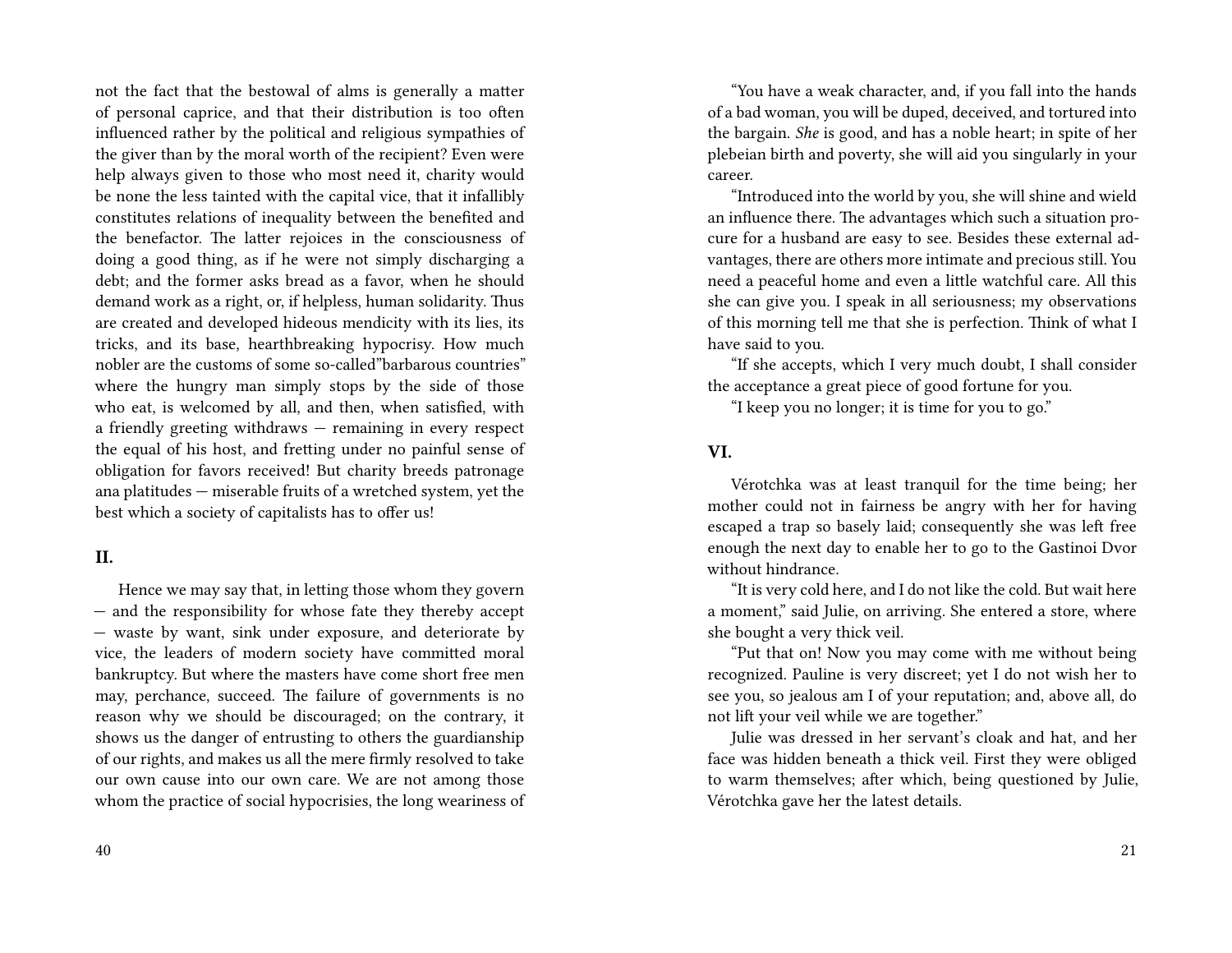not the fact that the bestowal of alms is generally a matter of personal caprice, and that their distribution is too often influenced rather by the political and religious sympathies of the giver than by the moral worth of the recipient? Even were help always given to those who most need it, charity would be none the less tainted with the capital vice, that it infallibly constitutes relations of inequality between the benefited and the benefactor. The latter rejoices in the consciousness of doing a good thing, as if he were not simply discharging a debt; and the former asks bread as a favor, when he should demand work as a right, or, if helpless, human solidarity. Thus are created and developed hideous mendicity with its lies, its tricks, and its base, hearthbreaking hypocrisy. How much nobler are the customs of some so-called"barbarous countries" where the hungry man simply stops by the side of those who eat, is welcomed by all, and then, when satisfied, with a friendly greeting withdraws — remaining in every respect the equal of his host, and fretting under no painful sense of obligation for favors received! But charity breeds patronage ana platitudes — miserable fruits of a wretched system, yet the best which a society of capitalists has to offer us!

#### **II.**

Hence we may say that, in letting those whom they govern — and the responsibility for whose fate they thereby accept — waste by want, sink under exposure, and deteriorate by vice, the leaders of modern society have committed moral bankruptcy. But where the masters have come short free men may, perchance, succeed. The failure of governments is no reason why we should be discouraged; on the contrary, it shows us the danger of entrusting to others the guardianship of our rights, and makes us all the mere firmly resolved to take our own cause into our own care. We are not among those whom the practice of social hypocrisies, the long weariness of

"You have a weak character, and, if you fall into the hands of a bad woman, you will be duped, deceived, and tortured into the bargain. *She* is good, and has a noble heart; in spite of her plebeian birth and poverty, she will aid you singularly in your career.

"Introduced into the world by you, she will shine and wield an influence there. The advantages which such a situation procure for a husband are easy to see. Besides these external advantages, there are others more intimate and precious still. You need a peaceful home and even a little watchful care. All this she can give you. I speak in all seriousness; my observations of this morning tell me that she is perfection. Think of what I have said to you.

"If she accepts, which I very much doubt, I shall consider the acceptance a great piece of good fortune for you.

"I keep you no longer; it is time for you to go."

#### **VI.**

Vérotchka was at least tranquil for the time being; her mother could not in fairness be angry with her for having escaped a trap so basely laid; consequently she was left free enough the next day to enable her to go to the Gastinoi Dvor without hindrance.

"It is very cold here, and I do not like the cold. But wait here a moment," said Julie, on arriving. She entered a store, where she bought a very thick veil.

"Put that on! Now you may come with me without being recognized. Pauline is very discreet; yet I do not wish her to see you, so jealous am I of your reputation; and, above all, do not lift your veil while we are together."

Julie was dressed in her servant's cloak and hat, and her face was hidden beneath a thick veil. First they were obliged to warm themselves; after which, being questioned by Julie, Vérotchka gave her the latest details.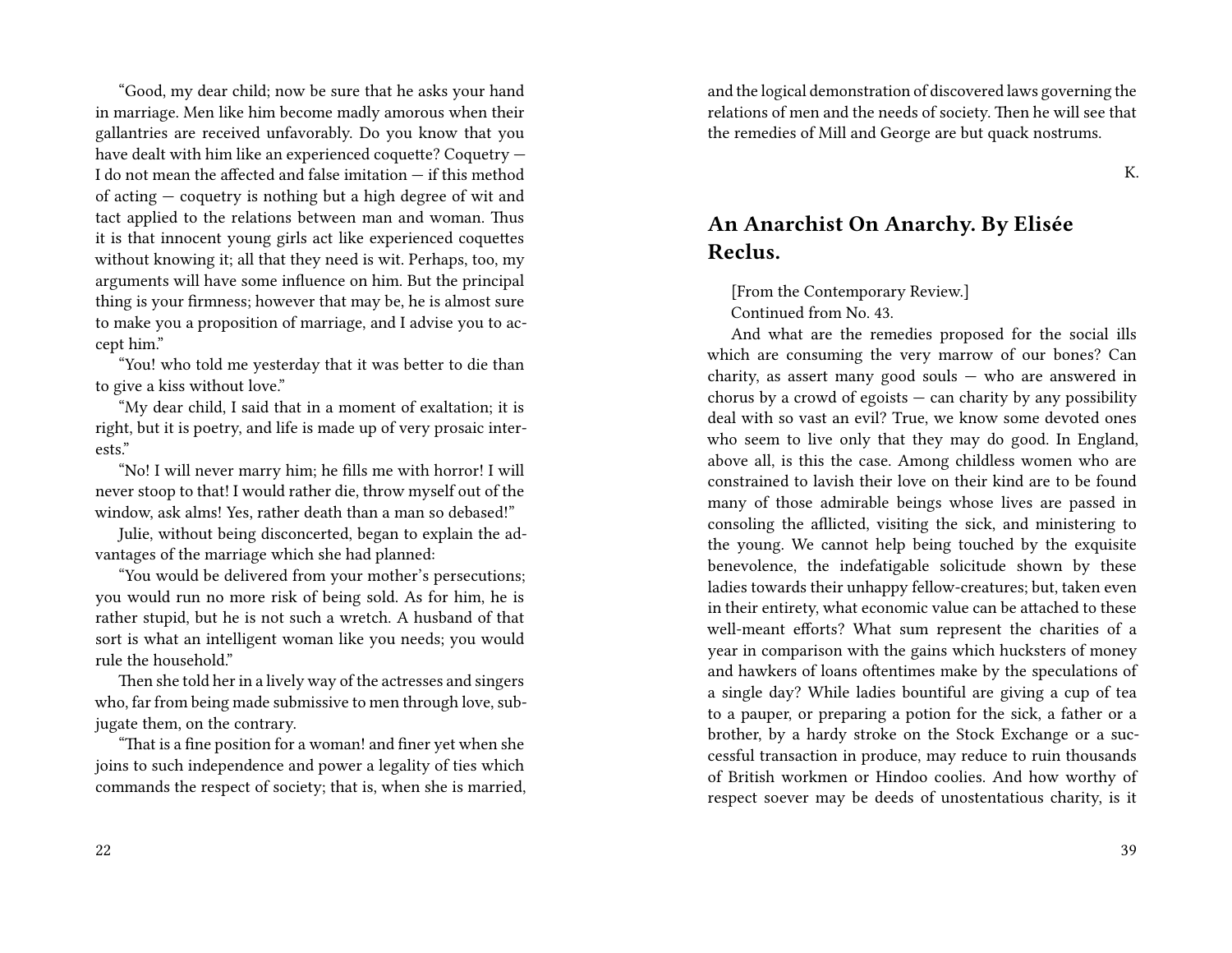"Good, my dear child; now be sure that he asks your hand in marriage. Men like him become madly amorous when their gallantries are received unfavorably. Do you know that you have dealt with him like an experienced coquette? Coquetry — I do not mean the affected and false imitation — if this method of acting — coquetry is nothing but a high degree of wit and tact applied to the relations between man and woman. Thus it is that innocent young girls act like experienced coquettes without knowing it; all that they need is wit. Perhaps, too, my arguments will have some influence on him. But the principal thing is your firmness; however that may be, he is almost sure to make you a proposition of marriage, and I advise you to accept him."

"You! who told me yesterday that it was better to die than to give a kiss without love."

"My dear child, I said that in a moment of exaltation; it is right, but it is poetry, and life is made up of very prosaic interests."

"No! I will never marry him; he fills me with horror! I will never stoop to that! I would rather die, throw myself out of the window, ask alms! Yes, rather death than a man so debased!"

Julie, without being disconcerted, began to explain the advantages of the marriage which she had planned:

"You would be delivered from your mother's persecutions; you would run no more risk of being sold. As for him, he is rather stupid, but he is not such a wretch. A husband of that sort is what an intelligent woman like you needs; you would rule the household."

Then she told her in a lively way of the actresses and singers who, far from being made submissive to men through love, subjugate them, on the contrary.

"That is a fine position for a woman! and finer yet when she joins to such independence and power a legality of ties which commands the respect of society; that is, when she is married, and the logical demonstration of discovered laws governing the relations of men and the needs of society. Then he will see that the remedies of Mill and George are but quack nostrums.

## **An Anarchist On Anarchy. By Elisée Reclus.**

#### [From the Contemporary Review.]

Continued from No. 43.

And what are the remedies proposed for the social ills which are consuming the very marrow of our bones? Can charity, as assert many good souls — who are answered in chorus by a crowd of egoists  $-$  can charity by any possibility deal with so vast an evil? True, we know some devoted ones who seem to live only that they may do good. In England, above all, is this the case. Among childless women who are constrained to lavish their love on their kind are to be found many of those admirable beings whose lives are passed in consoling the afllicted, visiting the sick, and ministering to the young. We cannot help being touched by the exquisite benevolence, the indefatigable solicitude shown by these ladies towards their unhappy fellow-creatures; but, taken even in their entirety, what economic value can be attached to these well-meant efforts? What sum represent the charities of a year in comparison with the gains which hucksters of money and hawkers of loans oftentimes make by the speculations of a single day? While ladies bountiful are giving a cup of tea to a pauper, or preparing a potion for the sick, a father or a brother, by a hardy stroke on the Stock Exchange or a successful transaction in produce, may reduce to ruin thousands of British workmen or Hindoo coolies. And how worthy of respect soever may be deeds of unostentatious charity, is it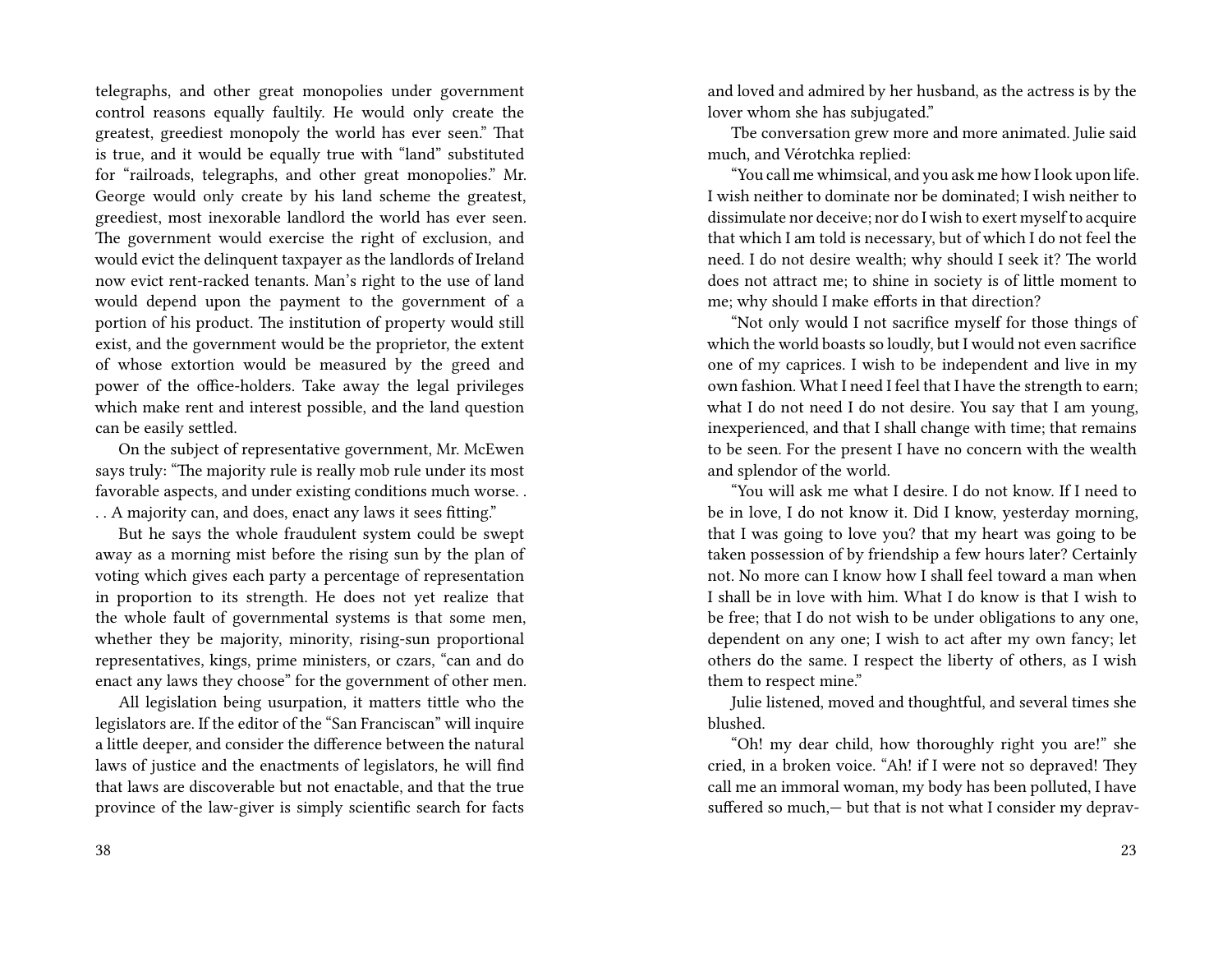telegraphs, and other great monopolies under government control reasons equally faultily. He would only create the greatest, greediest monopoly the world has ever seen." That is true, and it would be equally true with "land" substituted for "railroads, telegraphs, and other great monopolies." Mr. George would only create by his land scheme the greatest, greediest, most inexorable landlord the world has ever seen. The government would exercise the right of exclusion, and would evict the delinquent taxpayer as the landlords of Ireland now evict rent-racked tenants. Man's right to the use of land would depend upon the payment to the government of a portion of his product. The institution of property would still exist, and the government would be the proprietor, the extent of whose extortion would be measured by the greed and power of the office-holders. Take away the legal privileges which make rent and interest possible, and the land question can be easily settled.

On the subject of representative government, Mr. McEwen says truly: "The majority rule is really mob rule under its most favorable aspects, and under existing conditions much worse. . . . A majority can, and does, enact any laws it sees fitting."

But he says the whole fraudulent system could be swept away as a morning mist before the rising sun by the plan of voting which gives each party a percentage of representation in proportion to its strength. He does not yet realize that the whole fault of governmental systems is that some men, whether they be majority, minority, rising-sun proportional representatives, kings, prime ministers, or czars, "can and do enact any laws they choose" for the government of other men.

All legislation being usurpation, it matters tittle who the legislators are. If the editor of the "San Franciscan" will inquire a little deeper, and consider the difference between the natural laws of justice and the enactments of legislators, he will find that laws are discoverable but not enactable, and that the true province of the law-giver is simply scientific search for facts

38

and loved and admired by her husband, as the actress is by the lover whom she has subjugated."

Tbe conversation grew more and more animated. Julie said much, and Vérotchka replied:

"You call me whimsical, and you ask me how I look upon life. I wish neither to dominate nor be dominated; I wish neither to dissimulate nor deceive; nor do I wish to exert myself to acquire that which I am told is necessary, but of which I do not feel the need. I do not desire wealth; why should I seek it? The world does not attract me; to shine in society is of little moment to me; why should I make efforts in that direction?

"Not only would I not sacrifice myself for those things of which the world boasts so loudly, but I would not even sacrifice one of my caprices. I wish to be independent and live in my own fashion. What I need I feel that I have the strength to earn; what I do not need I do not desire. You say that I am young, inexperienced, and that I shall change with time; that remains to be seen. For the present I have no concern with the wealth and splendor of the world.

"You will ask me what I desire. I do not know. If I need to be in love, I do not know it. Did I know, yesterday morning, that I was going to love you? that my heart was going to be taken possession of by friendship a few hours later? Certainly not. No more can I know how I shall feel toward a man when I shall be in love with him. What I do know is that I wish to be free; that I do not wish to be under obligations to any one, dependent on any one; I wish to act after my own fancy; let others do the same. I respect the liberty of others, as I wish them to respect mine."

Julie listened, moved and thoughtful, and several times she blushed.

"Oh! my dear child, how thoroughly right you are!" she cried, in a broken voice. "Ah! if I were not so depraved! They call me an immoral woman, my body has been polluted, I have suffered so much,— but that is not what I consider my deprav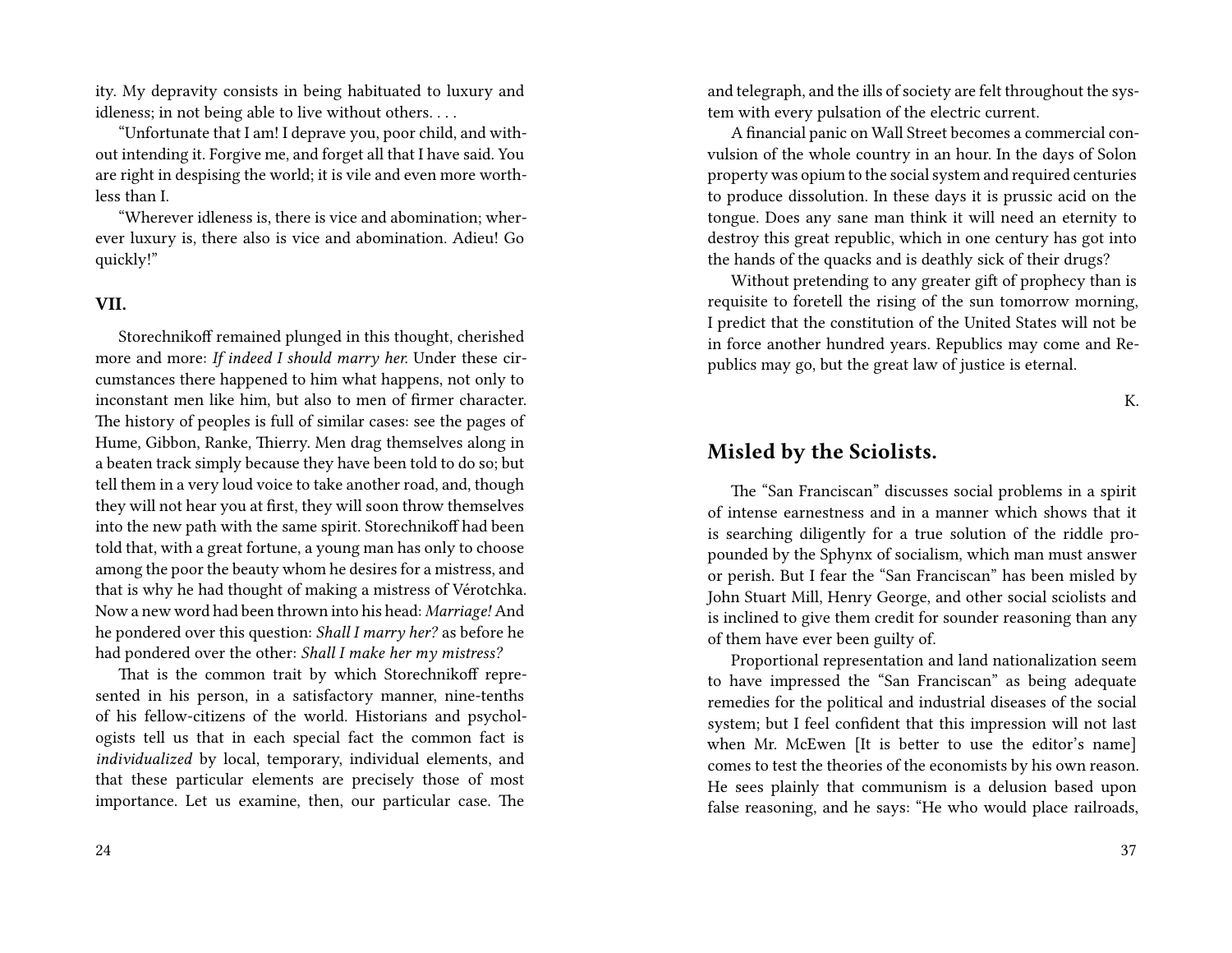ity. My depravity consists in being habituated to luxury and idleness; in not being able to live without others. . . .

"Unfortunate that I am! I deprave you, poor child, and without intending it. Forgive me, and forget all that I have said. You are right in despising the world; it is vile and even more worthless than I.

"Wherever idleness is, there is vice and abomination; wherever luxury is, there also is vice and abomination. Adieu! Go quickly!"

#### **VII.**

Storechnikoff remained plunged in this thought, cherished more and more: *If indeed I should marry her.* Under these circumstances there happened to him what happens, not only to inconstant men like him, but also to men of firmer character. The history of peoples is full of similar cases: see the pages of Hume, Gibbon, Ranke, Thierry. Men drag themselves along in a beaten track simply because they have been told to do so; but tell them in a very loud voice to take another road, and, though they will not hear you at first, they will soon throw themselves into the new path with the same spirit. Storechnikoff had been told that, with a great fortune, a young man has only to choose among the poor the beauty whom he desires for a mistress, and that is why he had thought of making a mistress of Vérotchka. Now a new word had been thrown into his head: *Marriage!* And he pondered over this question: *Shall I marry her?* as before he had pondered over the other: *Shall I make her my mistress?*

That is the common trait by which Storechnikoff represented in his person, in a satisfactory manner, nine-tenths of his fellow-citizens of the world. Historians and psychologists tell us that in each special fact the common fact is *individualized* by local, temporary, individual elements, and that these particular elements are precisely those of most importance. Let us examine, then, our particular case. The

and telegraph, and the ills of society are felt throughout the system with every pulsation of the electric current.

A financial panic on Wall Street becomes a commercial convulsion of the whole country in an hour. In the days of Solon property was opium to the social system and required centuries to produce dissolution. In these days it is prussic acid on the tongue. Does any sane man think it will need an eternity to destroy this great republic, which in one century has got into the hands of the quacks and is deathly sick of their drugs?

Without pretending to any greater gift of prophecy than is requisite to foretell the rising of the sun tomorrow morning, I predict that the constitution of the United States will not be in force another hundred years. Republics may come and Republics may go, but the great law of justice is eternal.

K.

### **Misled by the Sciolists.**

The "San Franciscan" discusses social problems in a spirit of intense earnestness and in a manner which shows that it is searching diligently for a true solution of the riddle propounded by the Sphynx of socialism, which man must answer or perish. But I fear the "San Franciscan" has been misled by John Stuart Mill, Henry George, and other social sciolists and is inclined to give them credit for sounder reasoning than any of them have ever been guilty of.

Proportional representation and land nationalization seem to have impressed the "San Franciscan" as being adequate remedies for the political and industrial diseases of the social system; but I feel confident that this impression will not last when Mr. McEwen [It is better to use the editor's name] comes to test the theories of the economists by his own reason. He sees plainly that communism is a delusion based upon false reasoning, and he says: "He who would place railroads,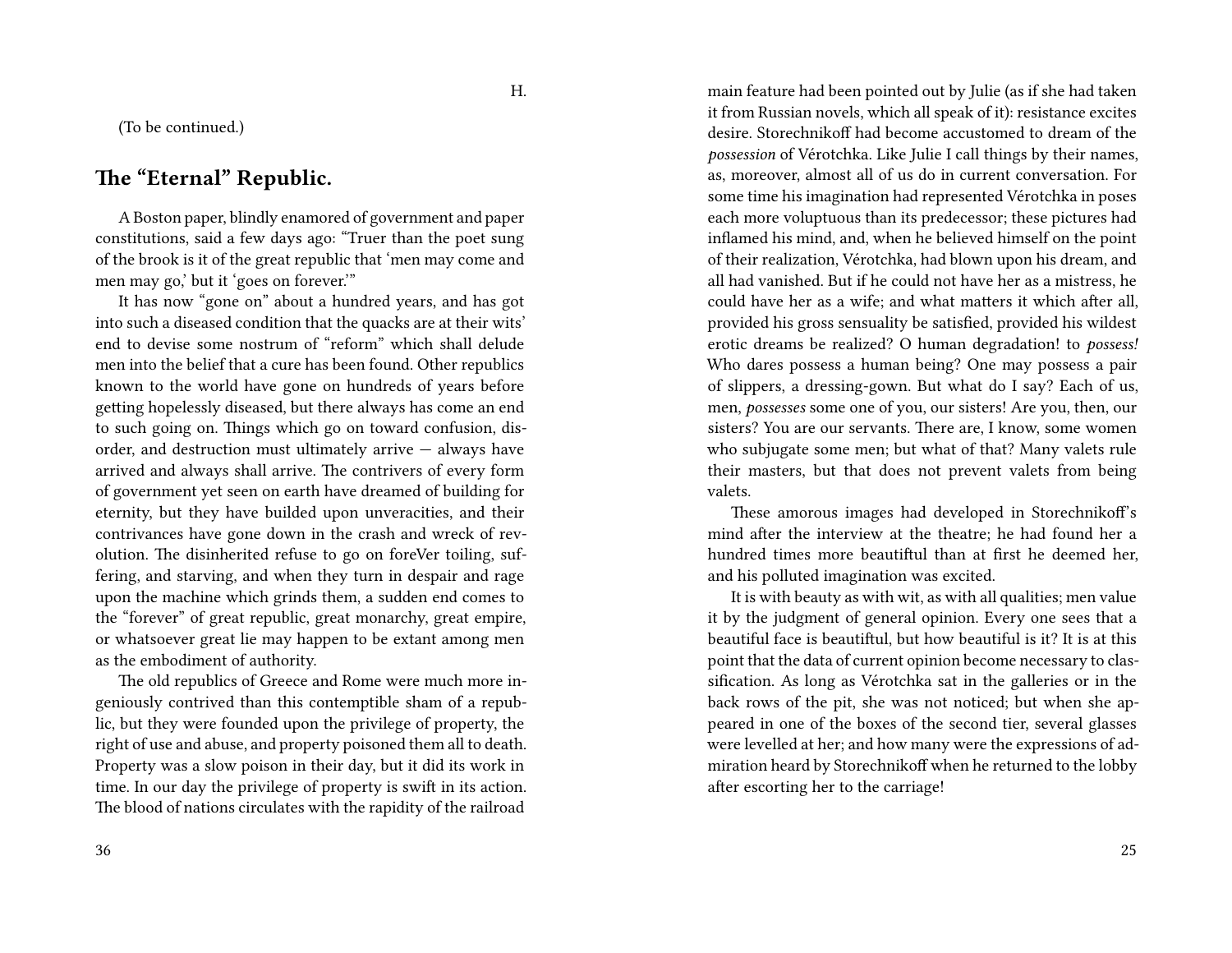H.

(To be continued.)

## **The "Eternal" Republic.**

A Boston paper, blindly enamored of government and paper constitutions, said a few days ago: "Truer than the poet sung of the brook is it of the great republic that 'men may come and men may go,' but it 'goes on forever.'"

It has now "gone on" about a hundred years, and has got into such a diseased condition that the quacks are at their wits' end to devise some nostrum of "reform" which shall delude men into the belief that a cure has been found. Other republics known to the world have gone on hundreds of years before getting hopelessly diseased, but there always has come an end to such going on. Things which go on toward confusion, disorder, and destruction must ultimately arrive — always have arrived and always shall arrive. The contrivers of every form of government yet seen on earth have dreamed of building for eternity, but they have builded upon unveracities, and their contrivances have gone down in the crash and wreck of revolution. The disinherited refuse to go on foreVer toiling, suffering, and starving, and when they turn in despair and rage upon the machine which grinds them, a sudden end comes to the "forever" of great republic, great monarchy, great empire, or whatsoever great lie may happen to be extant among men as the embodiment of authority.

The old republics of Greece and Rome were much more ingeniously contrived than this contemptible sham of a republic, but they were founded upon the privilege of property, the right of use and abuse, and property poisoned them all to death. Property was a slow poison in their day, but it did its work in time. In our day the privilege of property is swift in its action. The blood of nations circulates with the rapidity of the railroad

main feature had been pointed out by Julie (as if she had taken it from Russian novels, which all speak of it): resistance excites desire. Storechnikoff had become accustomed to dream of the *possession* of Vérotchka. Like Julie I call things by their names, as, moreover, almost all of us do in current conversation. For some time his imagination had represented Vérotchka in poses each more voluptuous than its predecessor; these pictures had inflamed his mind, and, when he believed himself on the point of their realization, Vérotchka, had blown upon his dream, and all had vanished. But if he could not have her as a mistress, he could have her as a wife; and what matters it which after all, provided his gross sensuality be satisfied, provided his wildest erotic dreams be realized? O human degradation! to *possess!* Who dares possess a human being? One may possess a pair of slippers, a dressing-gown. But what do I say? Each of us, men, *possesses* some one of you, our sisters! Are you, then, our sisters? You are our servants. There are, I know, some women who subjugate some men; but what of that? Many valets rule their masters, but that does not prevent valets from being valets.

These amorous images had developed in Storechnikof's mind after the interview at the theatre; he had found her a hundred times more beautiftul than at first he deemed her, and his polluted imagination was excited.

It is with beauty as with wit, as with all qualities; men value it by the judgment of general opinion. Every one sees that a beautiful face is beautiftul, but how beautiful is it? It is at this point that the data of current opinion become necessary to classification. As long as Vérotchka sat in the galleries or in the back rows of the pit, she was not noticed; but when she appeared in one of the boxes of the second tier, several glasses were levelled at her; and how many were the expressions of admiration heard by Storechnikoff when he returned to the lobby after escorting her to the carriage!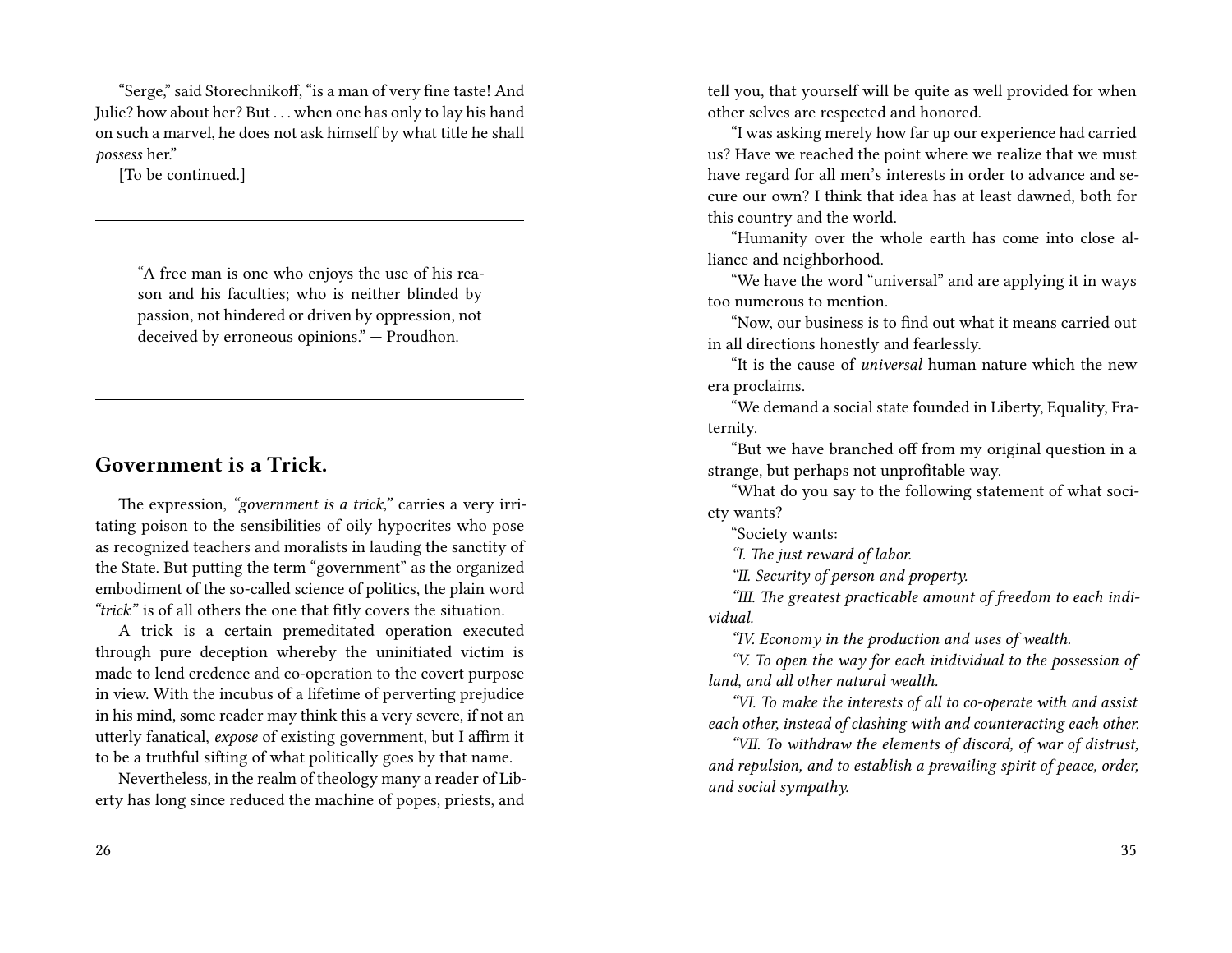"Serge," said Storechnikoff, "is a man of very fine taste! And Julie? how about her? But . . . when one has only to lay his hand on such a marvel, he does not ask himself by what title he shall *possess* her."

[To be continued.]

"A free man is one who enjoys the use of his reason and his faculties; who is neither blinded by passion, not hindered or driven by oppression, not deceived by erroneous opinions." — Proudhon.

### **Government is a Trick.**

The expression, *"government is a trick,"* carries a very irritating poison to the sensibilities of oily hypocrites who pose as recognized teachers and moralists in lauding the sanctity of the State. But putting the term "government" as the organized embodiment of the so-called science of politics, the plain word *"trick"* is of all others the one that fitly covers the situation.

A trick is a certain premeditated operation executed through pure deception whereby the uninitiated victim is made to lend credence and co-operation to the covert purpose in view. With the incubus of a lifetime of perverting prejudice in his mind, some reader may think this a very severe, if not an utterly fanatical, *expose* of existing government, but I affirm it to be a truthful sifting of what politically goes by that name.

Nevertheless, in the realm of theology many a reader of Liberty has long since reduced the machine of popes, priests, and

tell you, that yourself will be quite as well provided for when other selves are respected and honored.

"I was asking merely how far up our experience had carried us? Have we reached the point where we realize that we must have regard for all men's interests in order to advance and secure our own? I think that idea has at least dawned, both for this country and the world.

"Humanity over the whole earth has come into close alliance and neighborhood.

"We have the word "universal" and are applying it in ways too numerous to mention.

"Now, our business is to find out what it means carried out in all directions honestly and fearlessly.

"It is the cause of *universal* human nature which the new era proclaims.

"We demand a social state founded in Liberty, Equality, Fraternity.

"But we have branched off from my original question in a strange, but perhaps not unprofitable way.

"What do you say to the following statement of what society wants?

"Society wants:

*"I. The just reward of labor.*

*"II. Security of person and property.*

*"III. The greatest practicable amount of freedom to each individual.*

*"IV. Economy in the production and uses of wealth.*

*"V. To open the way for each inidividual to the possession of land, and all other natural wealth.*

*"VI. To make the interests of all to co-operate with and assist each other, instead of clashing with and counteracting each other.*

*"VII. To withdraw the elements of discord, of war of distrust, and repulsion, and to establish a prevailing spirit of peace, order, and social sympathy.*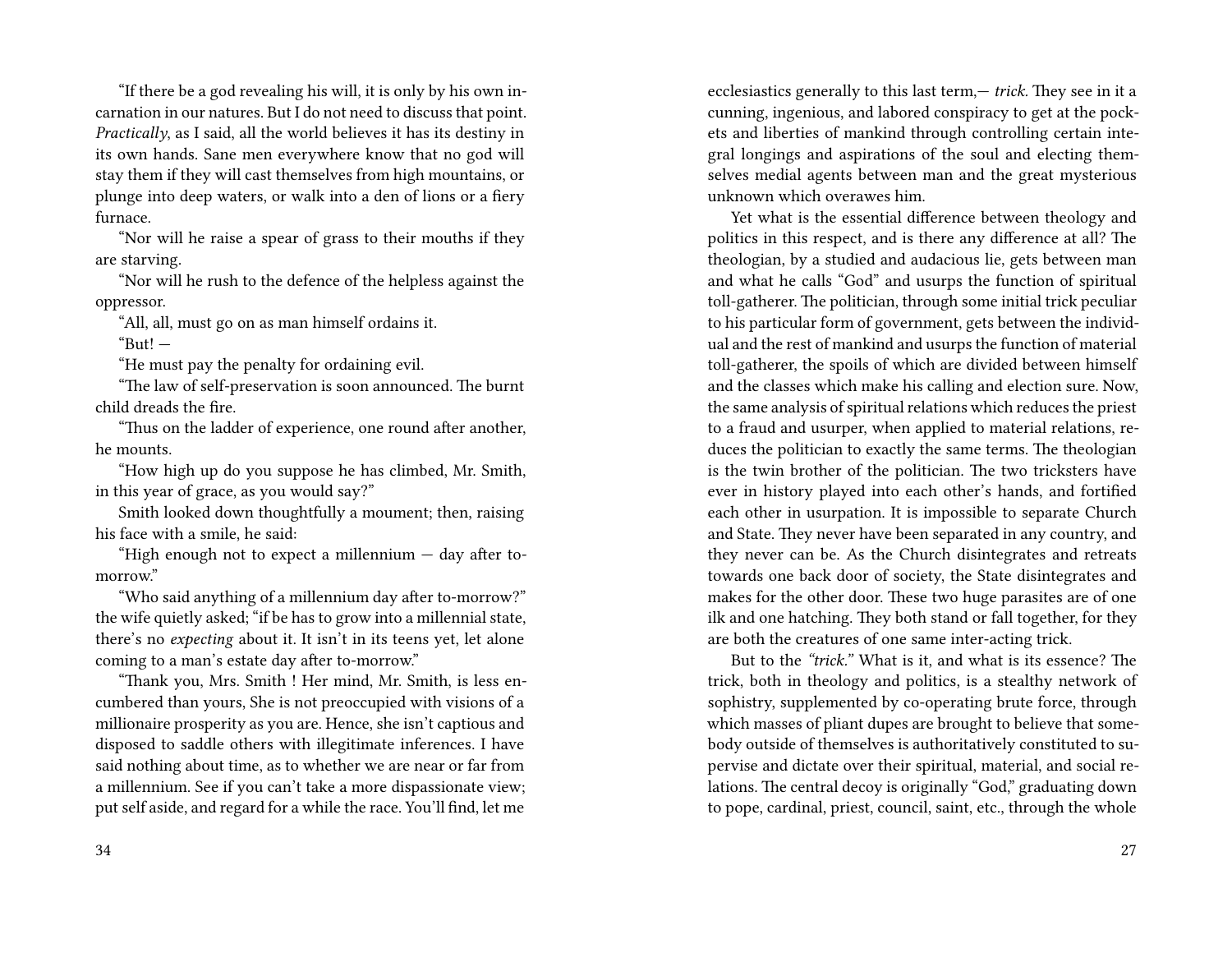"If there be a god revealing his will, it is only by his own incarnation in our natures. But I do not need to discuss that point. *Practically*, as I said, all the world believes it has its destiny in its own hands. Sane men everywhere know that no god will stay them if they will cast themselves from high mountains, or plunge into deep waters, or walk into a den of lions or a fiery furnace.

"Nor will he raise a spear of grass to their mouths if they are starving.

"Nor will he rush to the defence of the helpless against the oppressor.

"All, all, must go on as man himself ordains it.  $"But! -$ 

"He must pay the penalty for ordaining evil.

"The law of self-preservation is soon announced. The burnt child dreads the fire.

"Thus on the ladder of experience, one round after another, he mounts.

"How high up do you suppose he has climbed, Mr. Smith, in this year of grace, as you would say?"

Smith looked down thoughtfully a moument; then, raising his face with a smile, he said:

"High enough not to expect a millennium — day after tomorrow."

"Who said anything of a millennium day after to-morrow?" the wife quietly asked; "if be has to grow into a millennial state, there's no *expecting* about it. It isn't in its teens yet, let alone coming to a man's estate day after to-morrow."

"Thank you, Mrs. Smith ! Her mind, Mr. Smith, is less encumbered than yours, She is not preoccupied with visions of a millionaire prosperity as you are. Hence, she isn't captious and disposed to saddle others with illegitimate inferences. I have said nothing about time, as to whether we are near or far from a millennium. See if you can't take a more dispassionate view; put self aside, and regard for a while the race. You'll find, let me

ecclesiastics generally to this last term,— *trick.* They see in it a cunning, ingenious, and labored conspiracy to get at the pockets and liberties of mankind through controlling certain integral longings and aspirations of the soul and electing themselves medial agents between man and the great mysterious unknown which overawes him.

Yet what is the essential difference between theology and politics in this respect, and is there any difference at all? The theologian, by a studied and audacious lie, gets between man and what he calls "God" and usurps the function of spiritual toll-gatherer. The politician, through some initial trick peculiar to his particular form of government, gets between the individual and the rest of mankind and usurps the function of material toll-gatherer, the spoils of which are divided between himself and the classes which make his calling and election sure. Now, the same analysis of spiritual relations which reduces the priest to a fraud and usurper, when applied to material relations, reduces the politician to exactly the same terms. The theologian is the twin brother of the politician. The two tricksters have ever in history played into each other's hands, and fortified each other in usurpation. It is impossible to separate Church and State. They never have been separated in any country, and they never can be. As the Church disintegrates and retreats towards one back door of society, the State disintegrates and makes for the other door. These two huge parasites are of one ilk and one hatching. They both stand or fall together, for they are both the creatures of one same inter-acting trick.

But to the *"trick."* What is it, and what is its essence? The trick, both in theology and politics, is a stealthy network of sophistry, supplemented by co-operating brute force, through which masses of pliant dupes are brought to believe that somebody outside of themselves is authoritatively constituted to supervise and dictate over their spiritual, material, and social relations. The central decoy is originally "God," graduating down to pope, cardinal, priest, council, saint, etc., through the whole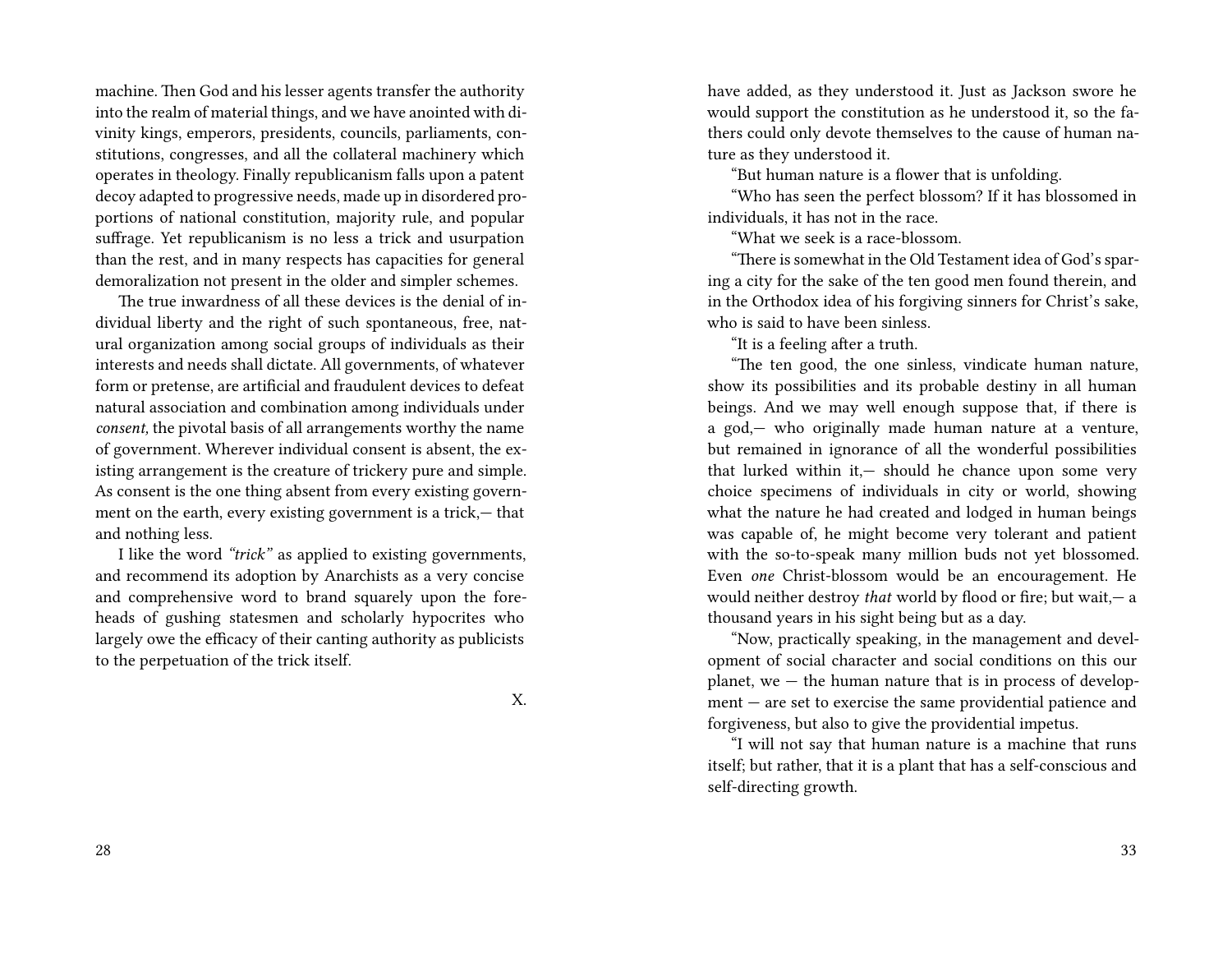machine. Then God and his lesser agents transfer the authority into the realm of material things, and we have anointed with divinity kings, emperors, presidents, councils, parliaments, constitutions, congresses, and all the collateral machinery which operates in theology. Finally republicanism falls upon a patent decoy adapted to progressive needs, made up in disordered proportions of national constitution, majority rule, and popular suffrage. Yet republicanism is no less a trick and usurpation than the rest, and in many respects has capacities for general demoralization not present in the older and simpler schemes.

The true inwardness of all these devices is the denial of individual liberty and the right of such spontaneous, free, natural organization among social groups of individuals as their interests and needs shall dictate. All governments, of whatever form or pretense, are artificial and fraudulent devices to defeat natural association and combination among individuals under *consent,* the pivotal basis of all arrangements worthy the name of government. Wherever individual consent is absent, the existing arrangement is the creature of trickery pure and simple. As consent is the one thing absent from every existing government on the earth, every existing government is a trick,— that and nothing less.

I like the word *"trick"* as applied to existing governments, and recommend its adoption by Anarchists as a very concise and comprehensive word to brand squarely upon the foreheads of gushing statesmen and scholarly hypocrites who largely owe the efficacy of their canting authority as publicists to the perpetuation of the trick itself.

X.

have added, as they understood it. Just as Jackson swore he would support the constitution as he understood it, so the fathers could only devote themselves to the cause of human nature as they understood it.

"But human nature is a flower that is unfolding.

"Who has seen the perfect blossom? If it has blossomed in individuals, it has not in the race.

"What we seek is a race-blossom.

"There is somewhat in the Old Testament idea of God's sparing a city for the sake of the ten good men found therein, and in the Orthodox idea of his forgiving sinners for Christ's sake, who is said to have been sinless.

"It is a feeling after a truth.

"The ten good, the one sinless, vindicate human nature, show its possibilities and its probable destiny in all human beings. And we may well enough suppose that, if there is a god,— who originally made human nature at a venture, but remained in ignorance of all the wonderful possibilities that lurked within it, $-$  should he chance upon some very choice specimens of individuals in city or world, showing what the nature he had created and lodged in human beings was capable of, he might become very tolerant and patient with the so-to-speak many million buds not yet blossomed. Even *one* Christ-blossom would be an encouragement. He would neither destroy *that* world by flood or fire; but wait,— a thousand years in his sight being but as a day.

"Now, practically speaking, in the management and development of social character and social conditions on this our planet, we  $-$  the human nature that is in process of development — are set to exercise the same providential patience and forgiveness, but also to give the providential impetus.

"I will not say that human nature is a machine that runs itself; but rather, that it is a plant that has a self-conscious and self-directing growth.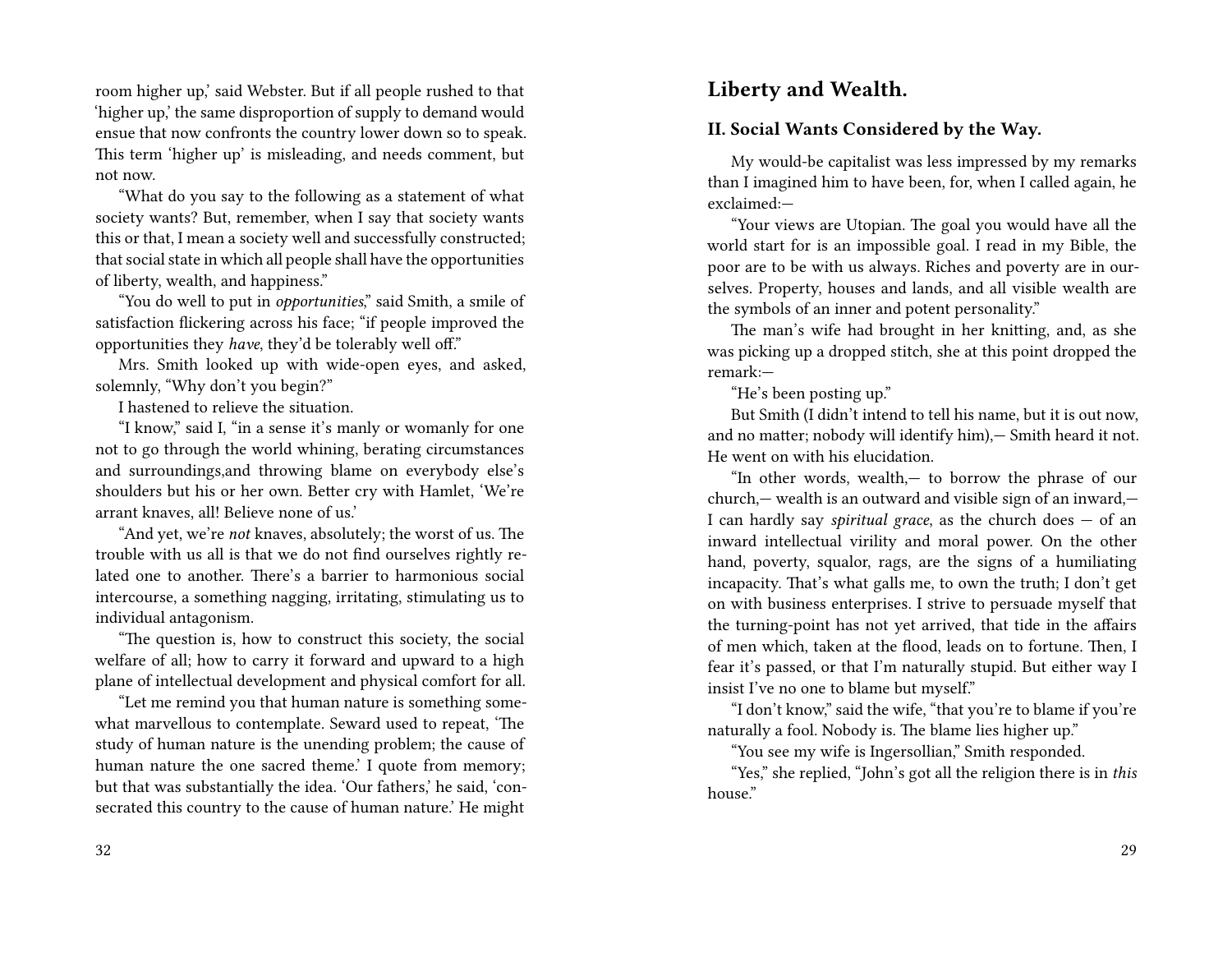room higher up,' said Webster. But if all people rushed to that 'higher up,' the same disproportion of supply to demand would ensue that now confronts the country lower down so to speak. This term 'higher up' is misleading, and needs comment, but not now.

"What do you say to the following as a statement of what society wants? But, remember, when I say that society wants this or that, I mean a society well and successfully constructed; that social state in which all people shall have the opportunities of liberty, wealth, and happiness."

"You do well to put in *opportunities*," said Smith, a smile of satisfaction flickering across his face; "if people improved the opportunities they *have*, they'd be tolerably well off."

Mrs. Smith looked up with wide-open eyes, and asked, solemnly, "Why don't you begin?"

I hastened to relieve the situation.

"I know," said I, "in a sense it's manly or womanly for one not to go through the world whining, berating circumstances and surroundings,and throwing blame on everybody else's shoulders but his or her own. Better cry with Hamlet, 'We're arrant knaves, all! Believe none of us.'

"And yet, we're *not* knaves, absolutely; the worst of us. The trouble with us all is that we do not find ourselves rightly related one to another. There's a barrier to harmonious social intercourse, a something nagging, irritating, stimulating us to individual antagonism.

"The question is, how to construct this society, the social welfare of all; how to carry it forward and upward to a high plane of intellectual development and physical comfort for all.

"Let me remind you that human nature is something somewhat marvellous to contemplate. Seward used to repeat, 'The study of human nature is the unending problem; the cause of human nature the one sacred theme.' I quote from memory; but that was substantially the idea. 'Our fathers,' he said, 'consecrated this country to the cause of human nature.' He might

## **Liberty and Wealth.**

#### **II. Social Wants Considered by the Way.**

My would-be capitalist was less impressed by my remarks than I imagined him to have been, for, when I called again, he exclaimed:—

"Your views are Utopian. The goal you would have all the world start for is an impossible goal. I read in my Bible, the poor are to be with us always. Riches and poverty are in ourselves. Property, houses and lands, and all visible wealth are the symbols of an inner and potent personality."

The man's wife had brought in her knitting, and, as she was picking up a dropped stitch, she at this point dropped the remark:—

"He's been posting up."

But Smith (I didn't intend to tell his name, but it is out now, and no matter; nobody will identify him),— Smith heard it not. He went on with his elucidation.

"In other words, wealth,— to borrow the phrase of our church,— wealth is an outward and visible sign of an inward,— I can hardly say *spiritual grace*, as the church does — of an inward intellectual virility and moral power. On the other hand, poverty, squalor, rags, are the signs of a humiliating incapacity. That's what galls me, to own the truth; I don't get on with business enterprises. I strive to persuade myself that the turning-point has not yet arrived, that tide in the affairs of men which, taken at the flood, leads on to fortune. Then, I fear it's passed, or that I'm naturally stupid. But either way I insist I've no one to blame but myself."

"I don't know," said the wife, "that you're to blame if you're naturally a fool. Nobody is. The blame lies higher up."

"You see my wife is Ingersollian," Smith responded.

"Yes," she replied, "John's got all the religion there is in *this* house."